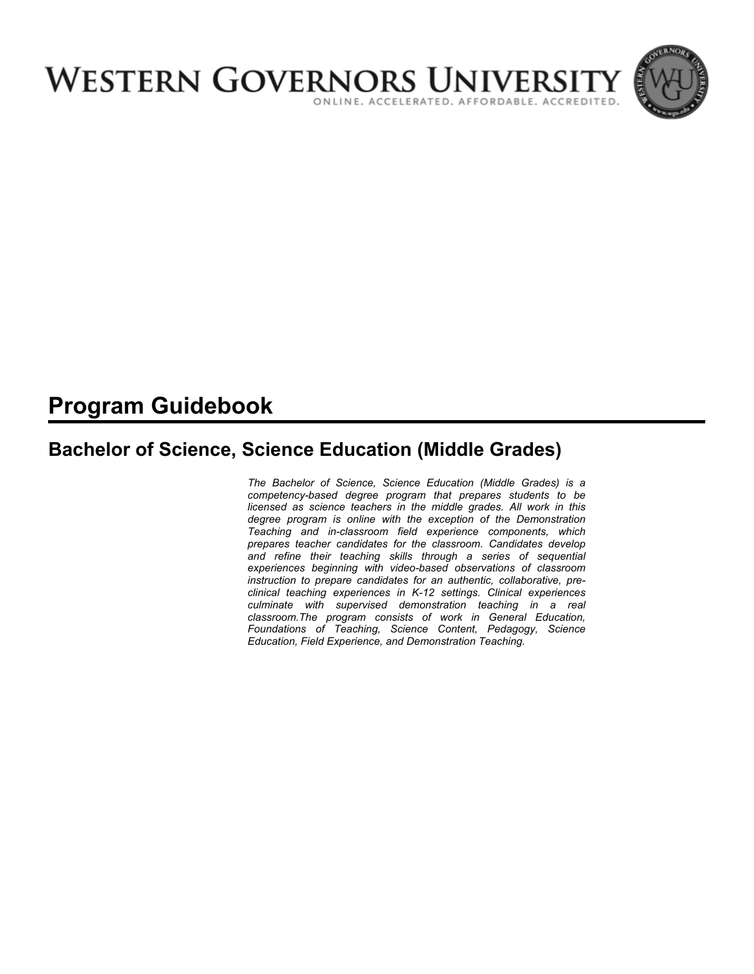

# **Program Guidebook**

# **Bachelor of Science, Science Education (Middle Grades)**

*The Bachelor of Science, Science Education (Middle Grades) is a competency-based degree program that prepares students to be licensed as science teachers in the middle grades. All work in this degree program is online with the exception of the Demonstration Teaching and in-classroom field experience components, which prepares teacher candidates for the classroom. Candidates develop and refine their teaching skills through a series of sequential experiences beginning with video-based observations of classroom instruction to prepare candidates for an authentic, collaborative, preclinical teaching experiences in K-12 settings. Clinical experiences culminate with supervised demonstration teaching in a real classroom.The program consists of work in General Education, Foundations of Teaching, Science Content, Pedagogy, Science Education, Field Experience, and Demonstration Teaching.*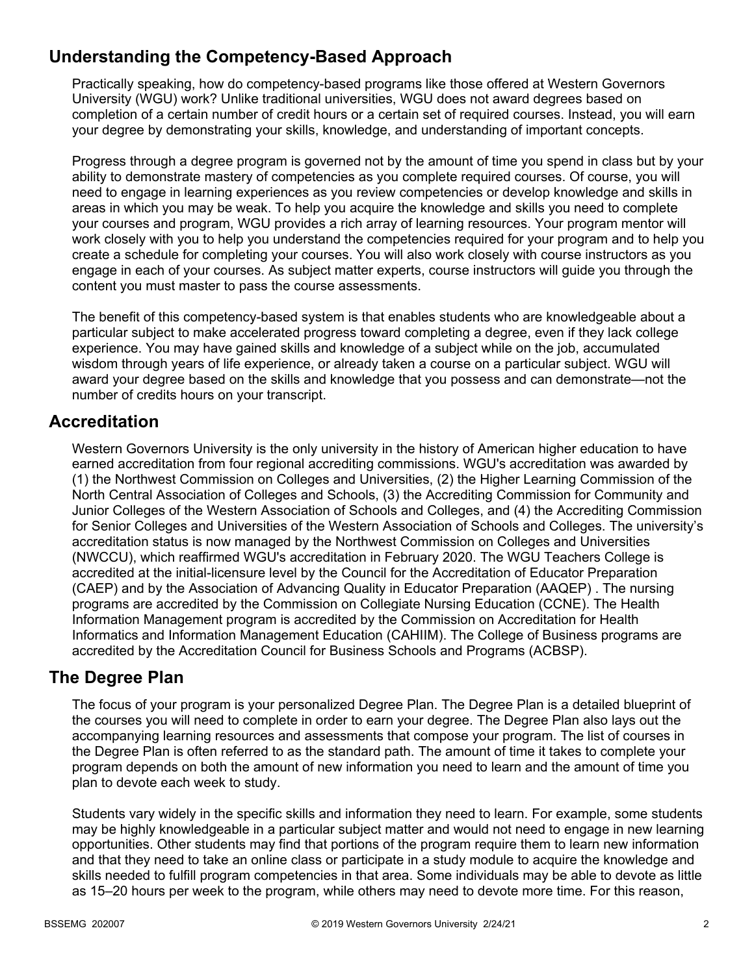# **Understanding the Competency-Based Approach**

Practically speaking, how do competency-based programs like those offered at Western Governors University (WGU) work? Unlike traditional universities, WGU does not award degrees based on completion of a certain number of credit hours or a certain set of required courses. Instead, you will earn your degree by demonstrating your skills, knowledge, and understanding of important concepts.

Progress through a degree program is governed not by the amount of time you spend in class but by your ability to demonstrate mastery of competencies as you complete required courses. Of course, you will need to engage in learning experiences as you review competencies or develop knowledge and skills in areas in which you may be weak. To help you acquire the knowledge and skills you need to complete your courses and program, WGU provides a rich array of learning resources. Your program mentor will work closely with you to help you understand the competencies required for your program and to help you create a schedule for completing your courses. You will also work closely with course instructors as you engage in each of your courses. As subject matter experts, course instructors will guide you through the content you must master to pass the course assessments.

The benefit of this competency-based system is that enables students who are knowledgeable about a particular subject to make accelerated progress toward completing a degree, even if they lack college experience. You may have gained skills and knowledge of a subject while on the job, accumulated wisdom through years of life experience, or already taken a course on a particular subject. WGU will award your degree based on the skills and knowledge that you possess and can demonstrate—not the number of credits hours on your transcript.

# **Accreditation**

Western Governors University is the only university in the history of American higher education to have earned accreditation from four regional accrediting commissions. WGU's accreditation was awarded by (1) the Northwest Commission on Colleges and Universities, (2) the Higher Learning Commission of the North Central Association of Colleges and Schools, (3) the Accrediting Commission for Community and Junior Colleges of the Western Association of Schools and Colleges, and (4) the Accrediting Commission for Senior Colleges and Universities of the Western Association of Schools and Colleges. The university's accreditation status is now managed by the Northwest Commission on Colleges and Universities (NWCCU), which reaffirmed WGU's accreditation in February 2020. The WGU Teachers College is accredited at the initial-licensure level by the Council for the Accreditation of Educator Preparation (CAEP) and by the Association of Advancing Quality in Educator Preparation (AAQEP) . The nursing programs are accredited by the Commission on Collegiate Nursing Education (CCNE). The Health Information Management program is accredited by the Commission on Accreditation for Health Informatics and Information Management Education (CAHIIM). The College of Business programs are accredited by the Accreditation Council for Business Schools and Programs (ACBSP).

## **The Degree Plan**

The focus of your program is your personalized Degree Plan. The Degree Plan is a detailed blueprint of the courses you will need to complete in order to earn your degree. The Degree Plan also lays out the accompanying learning resources and assessments that compose your program. The list of courses in the Degree Plan is often referred to as the standard path. The amount of time it takes to complete your program depends on both the amount of new information you need to learn and the amount of time you plan to devote each week to study.

Students vary widely in the specific skills and information they need to learn. For example, some students may be highly knowledgeable in a particular subject matter and would not need to engage in new learning opportunities. Other students may find that portions of the program require them to learn new information and that they need to take an online class or participate in a study module to acquire the knowledge and skills needed to fulfill program competencies in that area. Some individuals may be able to devote as little as 15–20 hours per week to the program, while others may need to devote more time. For this reason,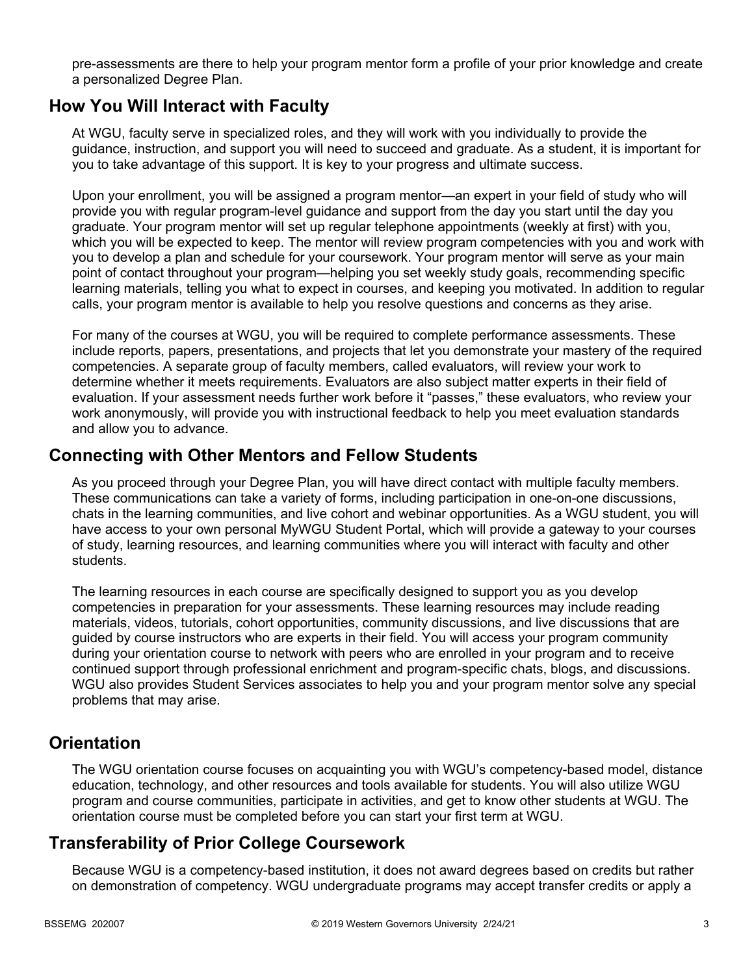pre-assessments are there to help your program mentor form a profile of your prior knowledge and create a personalized Degree Plan.

## **How You Will Interact with Faculty**

At WGU, faculty serve in specialized roles, and they will work with you individually to provide the guidance, instruction, and support you will need to succeed and graduate. As a student, it is important for you to take advantage of this support. It is key to your progress and ultimate success.

Upon your enrollment, you will be assigned a program mentor—an expert in your field of study who will provide you with regular program-level guidance and support from the day you start until the day you graduate. Your program mentor will set up regular telephone appointments (weekly at first) with you, which you will be expected to keep. The mentor will review program competencies with you and work with you to develop a plan and schedule for your coursework. Your program mentor will serve as your main point of contact throughout your program—helping you set weekly study goals, recommending specific learning materials, telling you what to expect in courses, and keeping you motivated. In addition to regular calls, your program mentor is available to help you resolve questions and concerns as they arise.

For many of the courses at WGU, you will be required to complete performance assessments. These include reports, papers, presentations, and projects that let you demonstrate your mastery of the required competencies. A separate group of faculty members, called evaluators, will review your work to determine whether it meets requirements. Evaluators are also subject matter experts in their field of evaluation. If your assessment needs further work before it "passes," these evaluators, who review your work anonymously, will provide you with instructional feedback to help you meet evaluation standards and allow you to advance.

## **Connecting with Other Mentors and Fellow Students**

As you proceed through your Degree Plan, you will have direct contact with multiple faculty members. These communications can take a variety of forms, including participation in one-on-one discussions, chats in the learning communities, and live cohort and webinar opportunities. As a WGU student, you will have access to your own personal MyWGU Student Portal, which will provide a gateway to your courses of study, learning resources, and learning communities where you will interact with faculty and other students.

The learning resources in each course are specifically designed to support you as you develop competencies in preparation for your assessments. These learning resources may include reading materials, videos, tutorials, cohort opportunities, community discussions, and live discussions that are guided by course instructors who are experts in their field. You will access your program community during your orientation course to network with peers who are enrolled in your program and to receive continued support through professional enrichment and program-specific chats, blogs, and discussions. WGU also provides Student Services associates to help you and your program mentor solve any special problems that may arise.

## **Orientation**

The WGU orientation course focuses on acquainting you with WGU's competency-based model, distance education, technology, and other resources and tools available for students. You will also utilize WGU program and course communities, participate in activities, and get to know other students at WGU. The orientation course must be completed before you can start your first term at WGU.

# **Transferability of Prior College Coursework**

Because WGU is a competency-based institution, it does not award degrees based on credits but rather on demonstration of competency. WGU undergraduate programs may accept transfer credits or apply a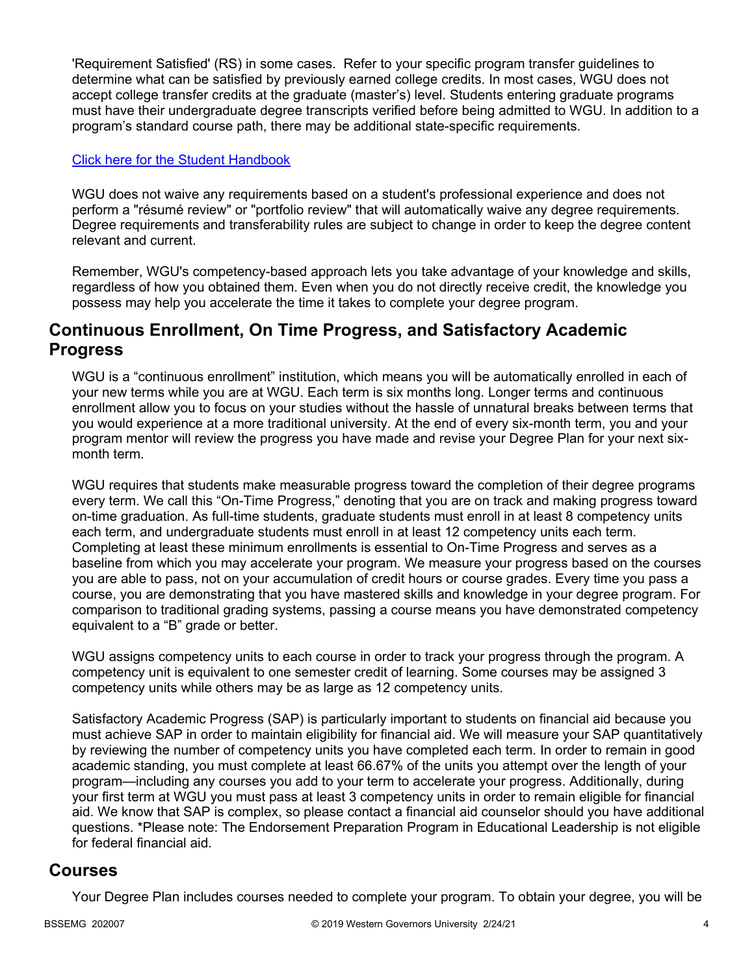'Requirement Satisfied' (RS) in some cases. Refer to your specific program transfer guidelines to determine what can be satisfied by previously earned college credits. In most cases, WGU does not accept college transfer credits at the graduate (master's) level. Students entering graduate programs must have their undergraduate degree transcripts verified before being admitted to WGU. In addition to a program's standard course path, there may be additional state-specific requirements.

#### [Click here for the Student Handbook](http://cm.wgu.edu/)

WGU does not waive any requirements based on a student's professional experience and does not perform a "résumé review" or "portfolio review" that will automatically waive any degree requirements. Degree requirements and transferability rules are subject to change in order to keep the degree content relevant and current.

Remember, WGU's competency-based approach lets you take advantage of your knowledge and skills, regardless of how you obtained them. Even when you do not directly receive credit, the knowledge you possess may help you accelerate the time it takes to complete your degree program.

## **Continuous Enrollment, On Time Progress, and Satisfactory Academic Progress**

WGU is a "continuous enrollment" institution, which means you will be automatically enrolled in each of your new terms while you are at WGU. Each term is six months long. Longer terms and continuous enrollment allow you to focus on your studies without the hassle of unnatural breaks between terms that you would experience at a more traditional university. At the end of every six-month term, you and your program mentor will review the progress you have made and revise your Degree Plan for your next sixmonth term.

WGU requires that students make measurable progress toward the completion of their degree programs every term. We call this "On-Time Progress," denoting that you are on track and making progress toward on-time graduation. As full-time students, graduate students must enroll in at least 8 competency units each term, and undergraduate students must enroll in at least 12 competency units each term. Completing at least these minimum enrollments is essential to On-Time Progress and serves as a baseline from which you may accelerate your program. We measure your progress based on the courses you are able to pass, not on your accumulation of credit hours or course grades. Every time you pass a course, you are demonstrating that you have mastered skills and knowledge in your degree program. For comparison to traditional grading systems, passing a course means you have demonstrated competency equivalent to a "B" grade or better.

WGU assigns competency units to each course in order to track your progress through the program. A competency unit is equivalent to one semester credit of learning. Some courses may be assigned 3 competency units while others may be as large as 12 competency units.

Satisfactory Academic Progress (SAP) is particularly important to students on financial aid because you must achieve SAP in order to maintain eligibility for financial aid. We will measure your SAP quantitatively by reviewing the number of competency units you have completed each term. In order to remain in good academic standing, you must complete at least 66.67% of the units you attempt over the length of your program—including any courses you add to your term to accelerate your progress. Additionally, during your first term at WGU you must pass at least 3 competency units in order to remain eligible for financial aid. We know that SAP is complex, so please contact a financial aid counselor should you have additional questions. \*Please note: The Endorsement Preparation Program in Educational Leadership is not eligible for federal financial aid.

## **Courses**

Your Degree Plan includes courses needed to complete your program. To obtain your degree, you will be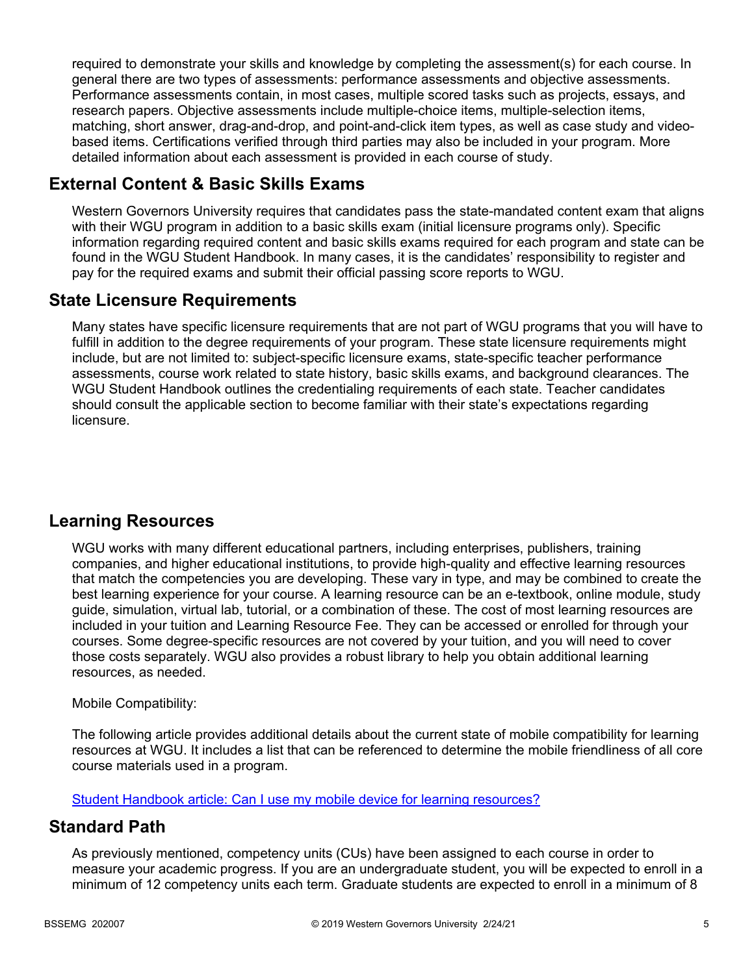required to demonstrate your skills and knowledge by completing the assessment(s) for each course. In general there are two types of assessments: performance assessments and objective assessments. Performance assessments contain, in most cases, multiple scored tasks such as projects, essays, and research papers. Objective assessments include multiple-choice items, multiple-selection items, matching, short answer, drag-and-drop, and point-and-click item types, as well as case study and videobased items. Certifications verified through third parties may also be included in your program. More detailed information about each assessment is provided in each course of study.

# **External Content & Basic Skills Exams**

Western Governors University requires that candidates pass the state-mandated content exam that aligns with their WGU program in addition to a basic skills exam (initial licensure programs only). Specific information regarding required content and basic skills exams required for each program and state can be found in the WGU Student Handbook. In many cases, it is the candidates' responsibility to register and pay for the required exams and submit their official passing score reports to WGU.

# **State Licensure Requirements**

Many states have specific licensure requirements that are not part of WGU programs that you will have to fulfill in addition to the degree requirements of your program. These state licensure requirements might include, but are not limited to: subject-specific licensure exams, state-specific teacher performance assessments, course work related to state history, basic skills exams, and background clearances. The WGU Student Handbook outlines the credentialing requirements of each state. Teacher candidates should consult the applicable section to become familiar with their state's expectations regarding licensure.

# **Learning Resources**

WGU works with many different educational partners, including enterprises, publishers, training companies, and higher educational institutions, to provide high-quality and effective learning resources that match the competencies you are developing. These vary in type, and may be combined to create the best learning experience for your course. A learning resource can be an e-textbook, online module, study guide, simulation, virtual lab, tutorial, or a combination of these. The cost of most learning resources are included in your tuition and Learning Resource Fee. They can be accessed or enrolled for through your courses. Some degree-specific resources are not covered by your tuition, and you will need to cover those costs separately. WGU also provides a robust library to help you obtain additional learning resources, as needed.

#### Mobile Compatibility:

The following article provides additional details about the current state of mobile compatibility for learning resources at WGU. It includes a list that can be referenced to determine the mobile friendliness of all core course materials used in a program.

[Student Handbook article: Can I use my mobile device for learning resources?](https://cm.wgu.edu/t5/Frequently-Asked-Questions/Can-I-use-my-mobile-device-for-learning-resources/ta-p/396)

## **Standard Path**

As previously mentioned, competency units (CUs) have been assigned to each course in order to measure your academic progress. If you are an undergraduate student, you will be expected to enroll in a minimum of 12 competency units each term. Graduate students are expected to enroll in a minimum of 8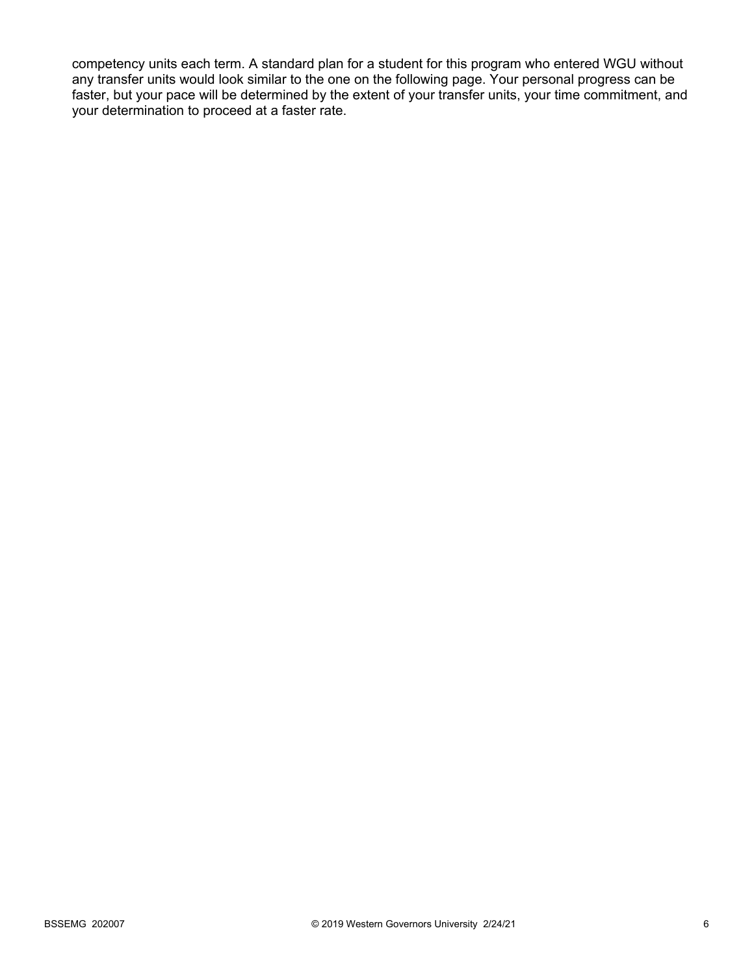competency units each term. A standard plan for a student for this program who entered WGU without any transfer units would look similar to the one on the following page. Your personal progress can be faster, but your pace will be determined by the extent of your transfer units, your time commitment, and your determination to proceed at a faster rate.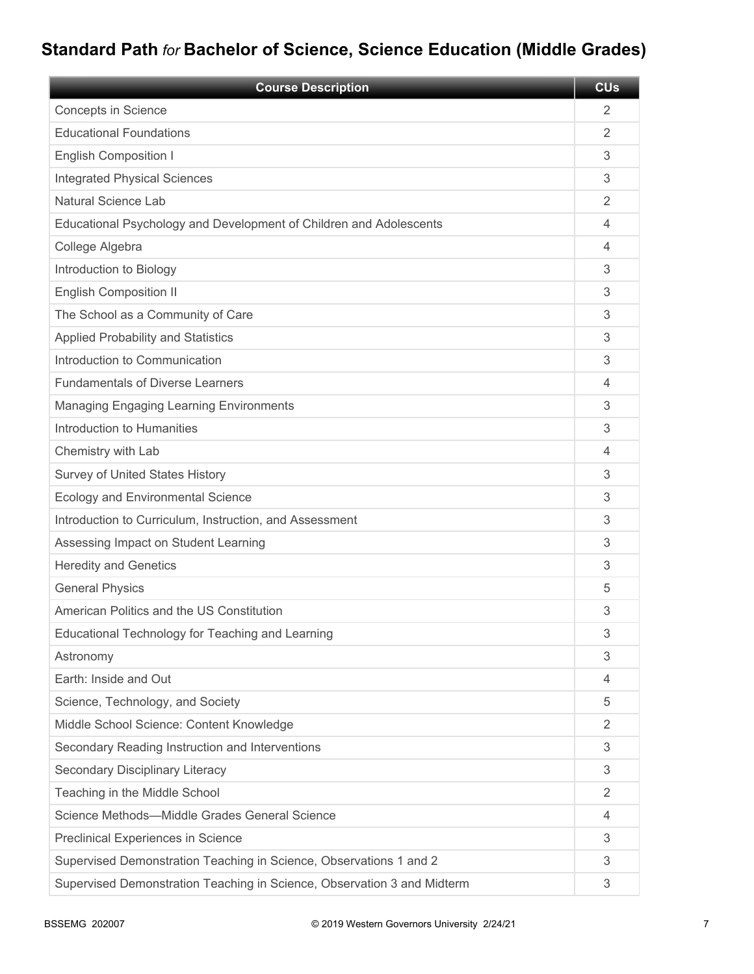# **Standard Path** *for* **Bachelor of Science, Science Education (Middle Grades)**

| <b>Course Description</b>                                               | <b>CU<sub>s</sub></b> |
|-------------------------------------------------------------------------|-----------------------|
| <b>Concepts in Science</b>                                              | $\overline{2}$        |
| <b>Educational Foundations</b>                                          | $\overline{2}$        |
| <b>English Composition I</b>                                            | 3                     |
| <b>Integrated Physical Sciences</b>                                     | 3                     |
| Natural Science Lab                                                     | 2                     |
| Educational Psychology and Development of Children and Adolescents      | 4                     |
| College Algebra                                                         | 4                     |
| Introduction to Biology                                                 | 3                     |
| <b>English Composition II</b>                                           | 3                     |
| The School as a Community of Care                                       | 3                     |
| <b>Applied Probability and Statistics</b>                               | 3                     |
| Introduction to Communication                                           | 3                     |
| <b>Fundamentals of Diverse Learners</b>                                 | 4                     |
| <b>Managing Engaging Learning Environments</b>                          | 3                     |
| Introduction to Humanities                                              | 3                     |
| Chemistry with Lab                                                      | 4                     |
| <b>Survey of United States History</b>                                  | 3                     |
| <b>Ecology and Environmental Science</b>                                | 3                     |
| Introduction to Curriculum, Instruction, and Assessment                 | 3                     |
| Assessing Impact on Student Learning                                    | 3                     |
| <b>Heredity and Genetics</b>                                            | 3                     |
| <b>General Physics</b>                                                  | 5                     |
| American Politics and the US Constitution                               | 3                     |
| Educational Technology for Teaching and Learning                        | 3                     |
| Astronomy                                                               | 3                     |
| Earth: Inside and Out                                                   | 4                     |
| Science, Technology, and Society                                        | 5                     |
| Middle School Science: Content Knowledge                                | 2                     |
| Secondary Reading Instruction and Interventions                         | 3                     |
| Secondary Disciplinary Literacy                                         | 3                     |
| Teaching in the Middle School                                           | $\overline{2}$        |
| Science Methods-Middle Grades General Science                           | 4                     |
| Preclinical Experiences in Science                                      | 3                     |
| Supervised Demonstration Teaching in Science, Observations 1 and 2      | 3                     |
| Supervised Demonstration Teaching in Science, Observation 3 and Midterm | 3                     |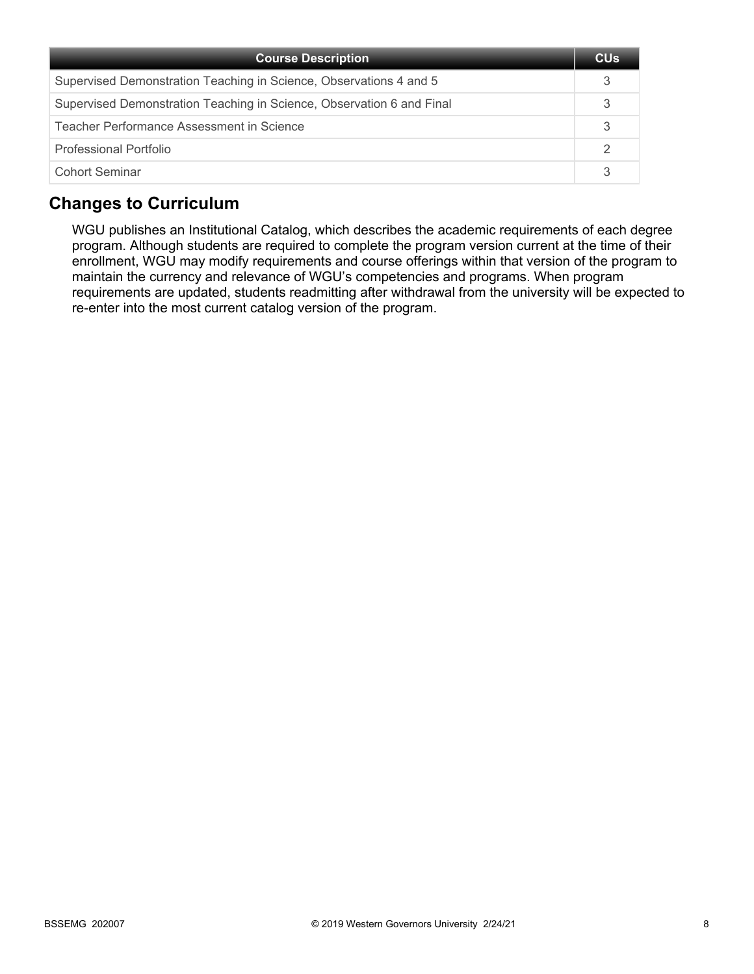| <b>Course Description</b>                                             | <b>CU<sub>s</sub></b> |
|-----------------------------------------------------------------------|-----------------------|
| Supervised Demonstration Teaching in Science, Observations 4 and 5    |                       |
| Supervised Demonstration Teaching in Science, Observation 6 and Final |                       |
| Teacher Performance Assessment in Science                             |                       |
| Professional Portfolio                                                |                       |
| <b>Cohort Seminar</b>                                                 |                       |

# **Changes to Curriculum**

WGU publishes an Institutional Catalog, which describes the academic requirements of each degree program. Although students are required to complete the program version current at the time of their enrollment, WGU may modify requirements and course offerings within that version of the program to maintain the currency and relevance of WGU's competencies and programs. When program requirements are updated, students readmitting after withdrawal from the university will be expected to re-enter into the most current catalog version of the program.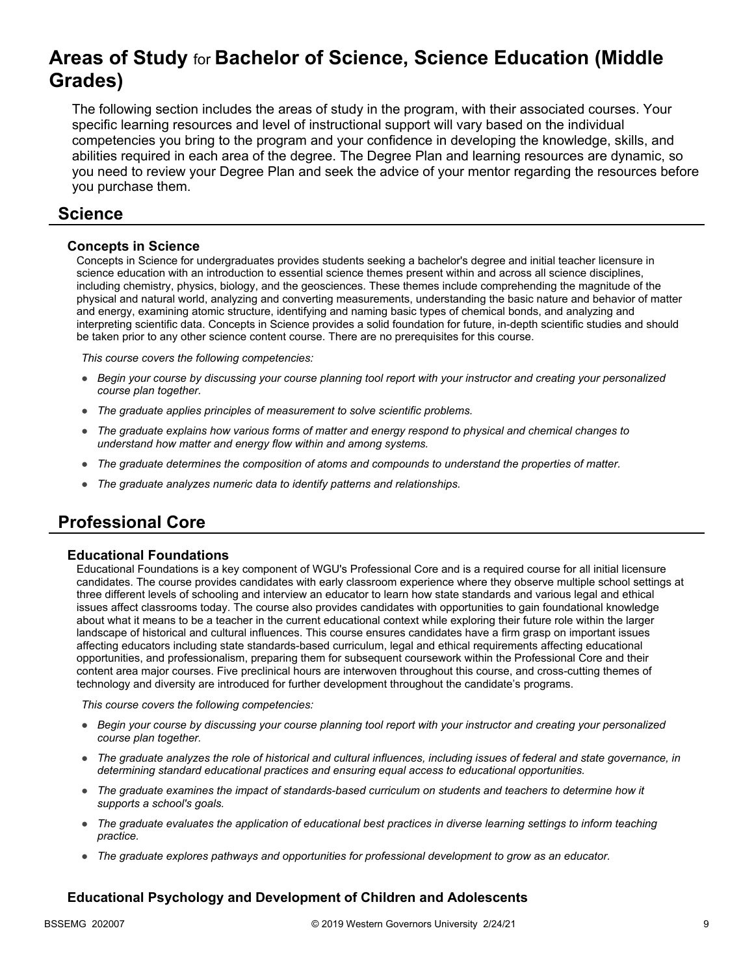# **Areas of Study** for **Bachelor of Science, Science Education (Middle Grades)**

The following section includes the areas of study in the program, with their associated courses. Your specific learning resources and level of instructional support will vary based on the individual competencies you bring to the program and your confidence in developing the knowledge, skills, and abilities required in each area of the degree. The Degree Plan and learning resources are dynamic, so you need to review your Degree Plan and seek the advice of your mentor regarding the resources before you purchase them.

## **Science**

#### **Concepts in Science**

Concepts in Science for undergraduates provides students seeking a bachelor's degree and initial teacher licensure in science education with an introduction to essential science themes present within and across all science disciplines, including chemistry, physics, biology, and the geosciences. These themes include comprehending the magnitude of the physical and natural world, analyzing and converting measurements, understanding the basic nature and behavior of matter and energy, examining atomic structure, identifying and naming basic types of chemical bonds, and analyzing and interpreting scientific data. Concepts in Science provides a solid foundation for future, in-depth scientific studies and should be taken prior to any other science content course. There are no prerequisites for this course.

*This course covers the following competencies:*

- *Begin your course by discussing your course planning tool report with your instructor and creating your personalized course plan together.*
- *The graduate applies principles of measurement to solve scientific problems.*
- *The graduate explains how various forms of matter and energy respond to physical and chemical changes to understand how matter and energy flow within and among systems.*
- *The graduate determines the composition of atoms and compounds to understand the properties of matter.*
- *The graduate analyzes numeric data to identify patterns and relationships.*

# **Professional Core**

#### **Educational Foundations**

Educational Foundations is a key component of WGU's Professional Core and is a required course for all initial licensure candidates. The course provides candidates with early classroom experience where they observe multiple school settings at three different levels of schooling and interview an educator to learn how state standards and various legal and ethical issues affect classrooms today. The course also provides candidates with opportunities to gain foundational knowledge about what it means to be a teacher in the current educational context while exploring their future role within the larger landscape of historical and cultural influences. This course ensures candidates have a firm grasp on important issues affecting educators including state standards-based curriculum, legal and ethical requirements affecting educational opportunities, and professionalism, preparing them for subsequent coursework within the Professional Core and their content area major courses. Five preclinical hours are interwoven throughout this course, and cross-cutting themes of technology and diversity are introduced for further development throughout the candidate's programs.

*This course covers the following competencies:*

- *Begin your course by discussing your course planning tool report with your instructor and creating your personalized course plan together.*
- *The graduate analyzes the role of historical and cultural influences, including issues of federal and state governance, in determining standard educational practices and ensuring equal access to educational opportunities.*
- *The graduate examines the impact of standards-based curriculum on students and teachers to determine how it supports a school's goals.*
- *The graduate evaluates the application of educational best practices in diverse learning settings to inform teaching practice.*
- *The graduate explores pathways and opportunities for professional development to grow as an educator.*

#### **Educational Psychology and Development of Children and Adolescents**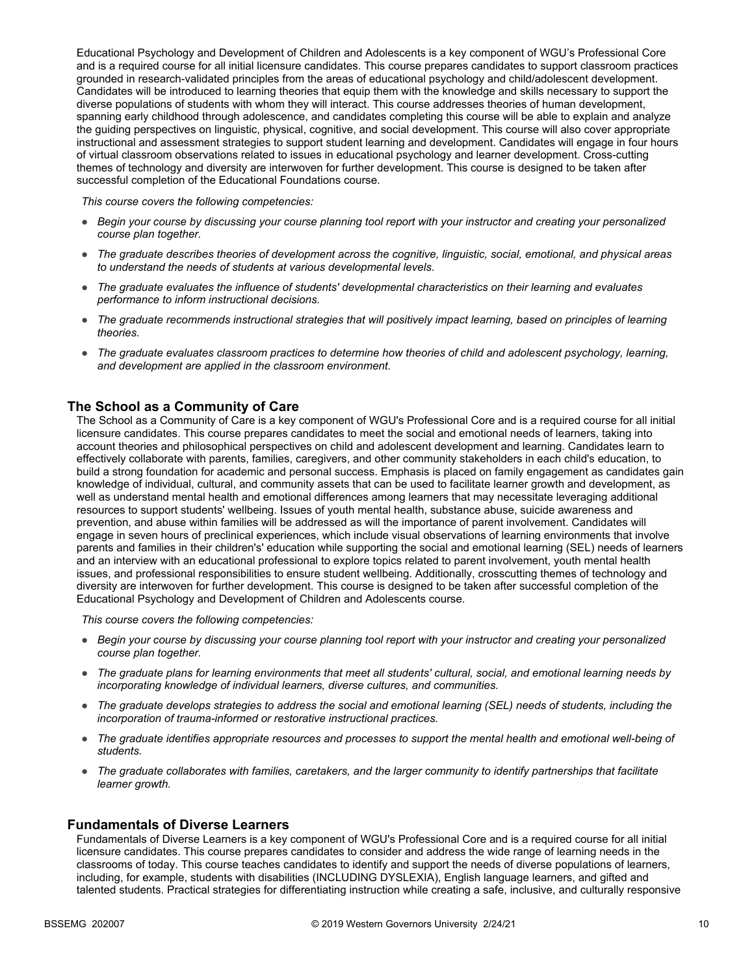Educational Psychology and Development of Children and Adolescents is a key component of WGU's Professional Core and is a required course for all initial licensure candidates. This course prepares candidates to support classroom practices grounded in research-validated principles from the areas of educational psychology and child/adolescent development. Candidates will be introduced to learning theories that equip them with the knowledge and skills necessary to support the diverse populations of students with whom they will interact. This course addresses theories of human development, spanning early childhood through adolescence, and candidates completing this course will be able to explain and analyze the guiding perspectives on linguistic, physical, cognitive, and social development. This course will also cover appropriate instructional and assessment strategies to support student learning and development. Candidates will engage in four hours of virtual classroom observations related to issues in educational psychology and learner development. Cross-cutting themes of technology and diversity are interwoven for further development. This course is designed to be taken after successful completion of the Educational Foundations course.

*This course covers the following competencies:*

- *Begin your course by discussing your course planning tool report with your instructor and creating your personalized course plan together.*
- *The graduate describes theories of development across the cognitive, linguistic, social, emotional, and physical areas to understand the needs of students at various developmental levels.*
- *The graduate evaluates the influence of students' developmental characteristics on their learning and evaluates performance to inform instructional decisions.*
- *The graduate recommends instructional strategies that will positively impact learning, based on principles of learning theories.*
- *The graduate evaluates classroom practices to determine how theories of child and adolescent psychology, learning, and development are applied in the classroom environment.*

#### **The School as a Community of Care**

The School as a Community of Care is a key component of WGU's Professional Core and is a required course for all initial licensure candidates. This course prepares candidates to meet the social and emotional needs of learners, taking into account theories and philosophical perspectives on child and adolescent development and learning. Candidates learn to effectively collaborate with parents, families, caregivers, and other community stakeholders in each child's education, to build a strong foundation for academic and personal success. Emphasis is placed on family engagement as candidates gain knowledge of individual, cultural, and community assets that can be used to facilitate learner growth and development, as well as understand mental health and emotional differences among learners that may necessitate leveraging additional resources to support students' wellbeing. Issues of youth mental health, substance abuse, suicide awareness and prevention, and abuse within families will be addressed as will the importance of parent involvement. Candidates will engage in seven hours of preclinical experiences, which include visual observations of learning environments that involve parents and families in their children's' education while supporting the social and emotional learning (SEL) needs of learners and an interview with an educational professional to explore topics related to parent involvement, youth mental health issues, and professional responsibilities to ensure student wellbeing. Additionally, crosscutting themes of technology and diversity are interwoven for further development. This course is designed to be taken after successful completion of the Educational Psychology and Development of Children and Adolescents course.

*This course covers the following competencies:*

- *Begin your course by discussing your course planning tool report with your instructor and creating your personalized course plan together.*
- *The graduate plans for learning environments that meet all students' cultural, social, and emotional learning needs by incorporating knowledge of individual learners, diverse cultures, and communities.*
- *The graduate develops strategies to address the social and emotional learning (SEL) needs of students, including the incorporation of trauma-informed or restorative instructional practices.*
- *The graduate identifies appropriate resources and processes to support the mental health and emotional well-being of students.*
- *The graduate collaborates with families, caretakers, and the larger community to identify partnerships that facilitate learner growth.*

#### **Fundamentals of Diverse Learners**

Fundamentals of Diverse Learners is a key component of WGU's Professional Core and is a required course for all initial licensure candidates. This course prepares candidates to consider and address the wide range of learning needs in the classrooms of today. This course teaches candidates to identify and support the needs of diverse populations of learners, including, for example, students with disabilities (INCLUDING DYSLEXIA), English language learners, and gifted and talented students. Practical strategies for differentiating instruction while creating a safe, inclusive, and culturally responsive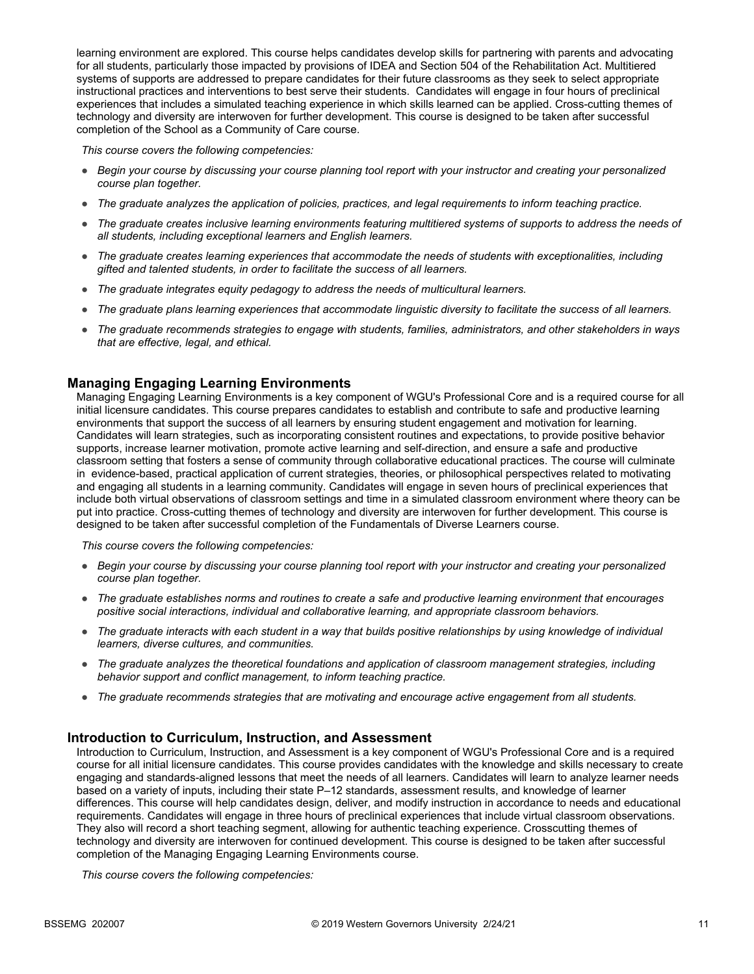learning environment are explored. This course helps candidates develop skills for partnering with parents and advocating for all students, particularly those impacted by provisions of IDEA and Section 504 of the Rehabilitation Act. Multitiered systems of supports are addressed to prepare candidates for their future classrooms as they seek to select appropriate instructional practices and interventions to best serve their students. Candidates will engage in four hours of preclinical experiences that includes a simulated teaching experience in which skills learned can be applied. Cross-cutting themes of technology and diversity are interwoven for further development. This course is designed to be taken after successful completion of the School as a Community of Care course.

*This course covers the following competencies:*

- *Begin your course by discussing your course planning tool report with your instructor and creating your personalized course plan together.*
- *The graduate analyzes the application of policies, practices, and legal requirements to inform teaching practice.*
- *The graduate creates inclusive learning environments featuring multitiered systems of supports to address the needs of all students, including exceptional learners and English learners.*
- *The graduate creates learning experiences that accommodate the needs of students with exceptionalities, including gifted and talented students, in order to facilitate the success of all learners.*
- *The graduate integrates equity pedagogy to address the needs of multicultural learners.*
- *The graduate plans learning experiences that accommodate linguistic diversity to facilitate the success of all learners.*
- *The graduate recommends strategies to engage with students, families, administrators, and other stakeholders in ways that are effective, legal, and ethical.*

#### **Managing Engaging Learning Environments**

Managing Engaging Learning Environments is a key component of WGU's Professional Core and is a required course for all initial licensure candidates. This course prepares candidates to establish and contribute to safe and productive learning environments that support the success of all learners by ensuring student engagement and motivation for learning. Candidates will learn strategies, such as incorporating consistent routines and expectations, to provide positive behavior supports, increase learner motivation, promote active learning and self-direction, and ensure a safe and productive classroom setting that fosters a sense of community through collaborative educational practices. The course will culminate in evidence-based, practical application of current strategies, theories, or philosophical perspectives related to motivating and engaging all students in a learning community. Candidates will engage in seven hours of preclinical experiences that include both virtual observations of classroom settings and time in a simulated classroom environment where theory can be put into practice. Cross-cutting themes of technology and diversity are interwoven for further development. This course is designed to be taken after successful completion of the Fundamentals of Diverse Learners course.

*This course covers the following competencies:*

- *Begin your course by discussing your course planning tool report with your instructor and creating your personalized course plan together.*
- *The graduate establishes norms and routines to create a safe and productive learning environment that encourages positive social interactions, individual and collaborative learning, and appropriate classroom behaviors.*
- *The graduate interacts with each student in a way that builds positive relationships by using knowledge of individual learners, diverse cultures, and communities.*
- *The graduate analyzes the theoretical foundations and application of classroom management strategies, including behavior support and conflict management, to inform teaching practice.*
- *The graduate recommends strategies that are motivating and encourage active engagement from all students.*

#### **Introduction to Curriculum, Instruction, and Assessment**

Introduction to Curriculum, Instruction, and Assessment is a key component of WGU's Professional Core and is a required course for all initial licensure candidates. This course provides candidates with the knowledge and skills necessary to create engaging and standards-aligned lessons that meet the needs of all learners. Candidates will learn to analyze learner needs based on a variety of inputs, including their state P–12 standards, assessment results, and knowledge of learner differences. This course will help candidates design, deliver, and modify instruction in accordance to needs and educational requirements. Candidates will engage in three hours of preclinical experiences that include virtual classroom observations. They also will record a short teaching segment, allowing for authentic teaching experience. Crosscutting themes of technology and diversity are interwoven for continued development. This course is designed to be taken after successful completion of the Managing Engaging Learning Environments course.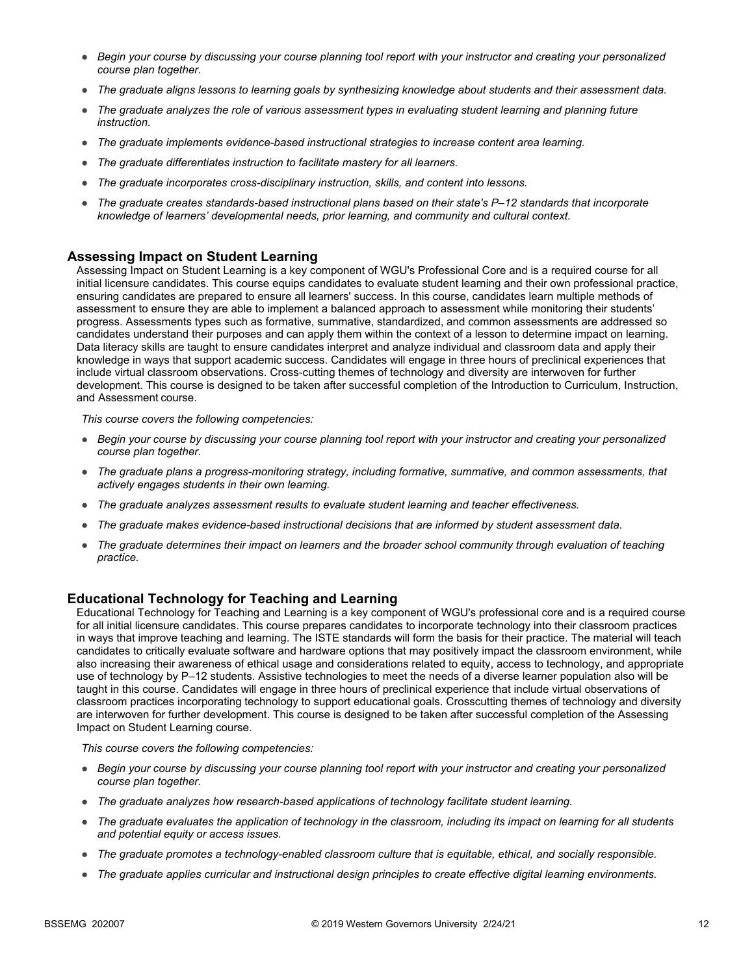- *Begin your course by discussing your course planning tool report with your instructor and creating your personalized course plan together.*
- *The graduate aligns lessons to learning goals by synthesizing knowledge about students and their assessment data.*
- *The graduate analyzes the role of various assessment types in evaluating student learning and planning future instruction.*
- *The graduate implements evidence-based instructional strategies to increase content area learning.*
- *The graduate differentiates instruction to facilitate mastery for all learners.*
- *The graduate incorporates cross-disciplinary instruction, skills, and content into lessons.*
- *The graduate creates standards-based instructional plans based on their state's P–12 standards that incorporate knowledge of learners' developmental needs, prior learning, and community and cultural context.*

#### **Assessing Impact on Student Learning**

Assessing Impact on Student Learning is a key component of WGU's Professional Core and is a required course for all initial licensure candidates. This course equips candidates to evaluate student learning and their own professional practice, ensuring candidates are prepared to ensure all learners' success. In this course, candidates learn multiple methods of assessment to ensure they are able to implement a balanced approach to assessment while monitoring their students' progress. Assessments types such as formative, summative, standardized, and common assessments are addressed so candidates understand their purposes and can apply them within the context of a lesson to determine impact on learning. Data literacy skills are taught to ensure candidates interpret and analyze individual and classroom data and apply their knowledge in ways that support academic success. Candidates will engage in three hours of preclinical experiences that include virtual classroom observations. Cross-cutting themes of technology and diversity are interwoven for further development. This course is designed to be taken after successful completion of the Introduction to Curriculum, Instruction, and Assessment course.

*This course covers the following competencies:*

- *Begin your course by discussing your course planning tool report with your instructor and creating your personalized course plan together.*
- *The graduate plans a progress-monitoring strategy, including formative, summative, and common assessments, that actively engages students in their own learning.*
- *The graduate analyzes assessment results to evaluate student learning and teacher effectiveness.*
- *The graduate makes evidence-based instructional decisions that are informed by student assessment data.*
- *The graduate determines their impact on learners and the broader school community through evaluation of teaching practice.*

#### **Educational Technology for Teaching and Learning**

Educational Technology for Teaching and Learning is a key component of WGU's professional core and is a required course for all initial licensure candidates. This course prepares candidates to incorporate technology into their classroom practices in ways that improve teaching and learning. The ISTE standards will form the basis for their practice. The material will teach candidates to critically evaluate software and hardware options that may positively impact the classroom environment, while also increasing their awareness of ethical usage and considerations related to equity, access to technology, and appropriate use of technology by P–12 students. Assistive technologies to meet the needs of a diverse learner population also will be taught in this course. Candidates will engage in three hours of preclinical experience that include virtual observations of classroom practices incorporating technology to support educational goals. Crosscutting themes of technology and diversity are interwoven for further development. This course is designed to be taken after successful completion of the Assessing Impact on Student Learning course.

- *Begin your course by discussing your course planning tool report with your instructor and creating your personalized course plan together.*
- *The graduate analyzes how research-based applications of technology facilitate student learning.*
- *The graduate evaluates the application of technology in the classroom, including its impact on learning for all students and potential equity or access issues.*
- *The graduate promotes a technology-enabled classroom culture that is equitable, ethical, and socially responsible.*
- *The graduate applies curricular and instructional design principles to create effective digital learning environments.*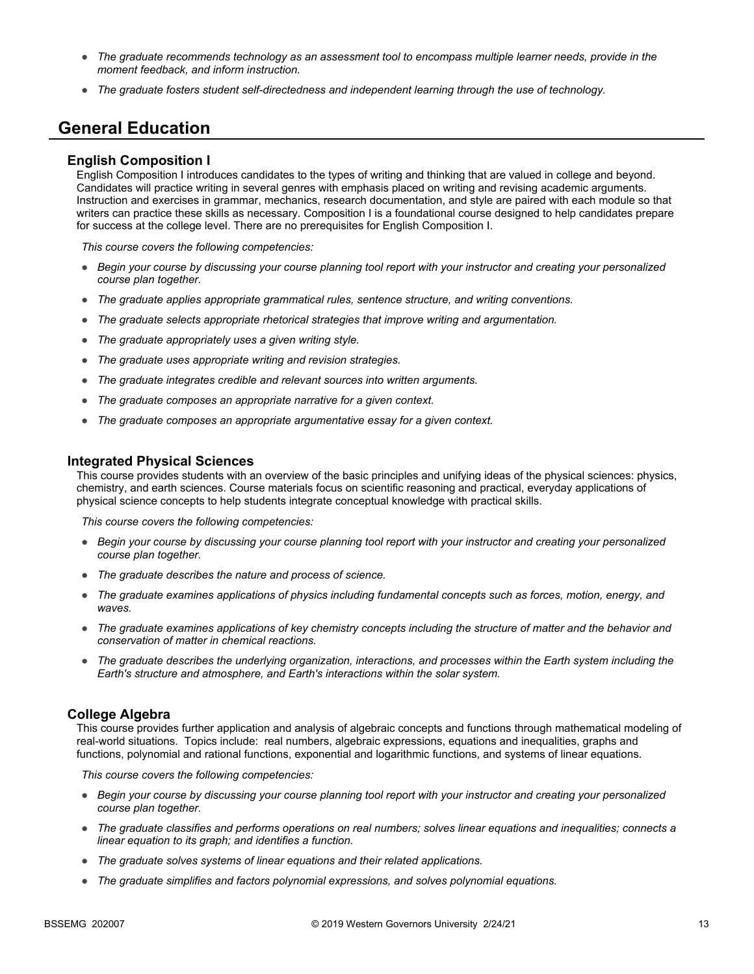- *The graduate recommends technology as an assessment tool to encompass multiple learner needs, provide in the moment feedback, and inform instruction.*
- *The graduate fosters student self-directedness and independent learning through the use of technology.*

## **General Education**

#### **English Composition I**

English Composition I introduces candidates to the types of writing and thinking that are valued in college and beyond. Candidates will practice writing in several genres with emphasis placed on writing and revising academic arguments. Instruction and exercises in grammar, mechanics, research documentation, and style are paired with each module so that writers can practice these skills as necessary. Composition I is a foundational course designed to help candidates prepare for success at the college level. There are no prerequisites for English Composition I.

*This course covers the following competencies:*

- *Begin your course by discussing your course planning tool report with your instructor and creating your personalized course plan together.*
- *The graduate applies appropriate grammatical rules, sentence structure, and writing conventions.*
- *The graduate selects appropriate rhetorical strategies that improve writing and argumentation.*
- *The graduate appropriately uses a given writing style.*
- *The graduate uses appropriate writing and revision strategies.*
- *The graduate integrates credible and relevant sources into written arguments.*
- *The graduate composes an appropriate narrative for a given context.*
- *The graduate composes an appropriate argumentative essay for a given context.*

#### **Integrated Physical Sciences**

This course provides students with an overview of the basic principles and unifying ideas of the physical sciences: physics, chemistry, and earth sciences. Course materials focus on scientific reasoning and practical, everyday applications of physical science concepts to help students integrate conceptual knowledge with practical skills.

*This course covers the following competencies:*

- *Begin your course by discussing your course planning tool report with your instructor and creating your personalized course plan together.*
- *The graduate describes the nature and process of science.*
- *The graduate examines applications of physics including fundamental concepts such as forces, motion, energy, and waves.*
- *The graduate examines applications of key chemistry concepts including the structure of matter and the behavior and conservation of matter in chemical reactions.*
- *The graduate describes the underlying organization, interactions, and processes within the Earth system including the Earth's structure and atmosphere, and Earth's interactions within the solar system.*

#### **College Algebra**

This course provides further application and analysis of algebraic concepts and functions through mathematical modeling of real-world situations. Topics include: real numbers, algebraic expressions, equations and inequalities, graphs and functions, polynomial and rational functions, exponential and logarithmic functions, and systems of linear equations.

- *Begin your course by discussing your course planning tool report with your instructor and creating your personalized course plan together.*
- *The graduate classifies and performs operations on real numbers; solves linear equations and inequalities; connects a linear equation to its graph; and identifies a function.*
- *The graduate solves systems of linear equations and their related applications.*
- *The graduate simplifies and factors polynomial expressions, and solves polynomial equations.*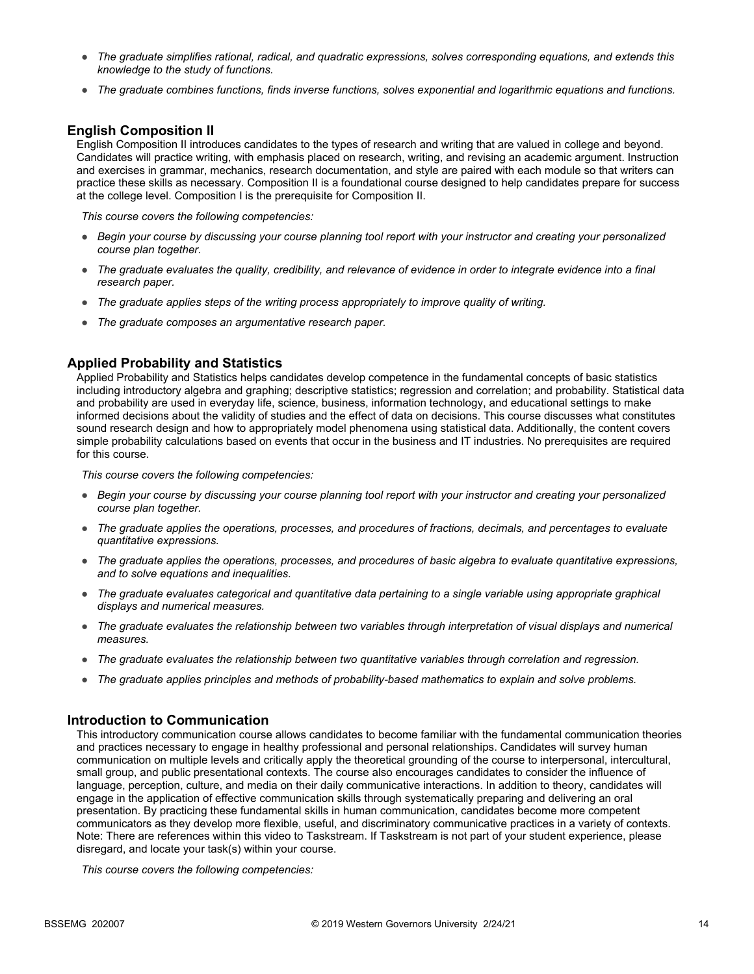- *The graduate simplifies rational, radical, and quadratic expressions, solves corresponding equations, and extends this knowledge to the study of functions.*
- *The graduate combines functions, finds inverse functions, solves exponential and logarithmic equations and functions.*

#### **English Composition II**

English Composition II introduces candidates to the types of research and writing that are valued in college and beyond. Candidates will practice writing, with emphasis placed on research, writing, and revising an academic argument. Instruction and exercises in grammar, mechanics, research documentation, and style are paired with each module so that writers can practice these skills as necessary. Composition II is a foundational course designed to help candidates prepare for success at the college level. Composition I is the prerequisite for Composition II.

*This course covers the following competencies:*

- *Begin your course by discussing your course planning tool report with your instructor and creating your personalized course plan together.*
- *The graduate evaluates the quality, credibility, and relevance of evidence in order to integrate evidence into a final research paper.*
- *The graduate applies steps of the writing process appropriately to improve quality of writing.*
- *The graduate composes an argumentative research paper.*

#### **Applied Probability and Statistics**

Applied Probability and Statistics helps candidates develop competence in the fundamental concepts of basic statistics including introductory algebra and graphing; descriptive statistics; regression and correlation; and probability. Statistical data and probability are used in everyday life, science, business, information technology, and educational settings to make informed decisions about the validity of studies and the effect of data on decisions. This course discusses what constitutes sound research design and how to appropriately model phenomena using statistical data. Additionally, the content covers simple probability calculations based on events that occur in the business and IT industries. No prerequisites are required for this course.

*This course covers the following competencies:*

- *Begin your course by discussing your course planning tool report with your instructor and creating your personalized course plan together.*
- *The graduate applies the operations, processes, and procedures of fractions, decimals, and percentages to evaluate quantitative expressions.*
- *The graduate applies the operations, processes, and procedures of basic algebra to evaluate quantitative expressions, and to solve equations and inequalities.*
- *The graduate evaluates categorical and quantitative data pertaining to a single variable using appropriate graphical displays and numerical measures.*
- *The graduate evaluates the relationship between two variables through interpretation of visual displays and numerical measures.*
- *The graduate evaluates the relationship between two quantitative variables through correlation and regression.*
- *The graduate applies principles and methods of probability-based mathematics to explain and solve problems.*

#### **Introduction to Communication**

This introductory communication course allows candidates to become familiar with the fundamental communication theories and practices necessary to engage in healthy professional and personal relationships. Candidates will survey human communication on multiple levels and critically apply the theoretical grounding of the course to interpersonal, intercultural, small group, and public presentational contexts. The course also encourages candidates to consider the influence of language, perception, culture, and media on their daily communicative interactions. In addition to theory, candidates will engage in the application of effective communication skills through systematically preparing and delivering an oral presentation. By practicing these fundamental skills in human communication, candidates become more competent communicators as they develop more flexible, useful, and discriminatory communicative practices in a variety of contexts. Note: There are references within this video to Taskstream. If Taskstream is not part of your student experience, please disregard, and locate your task(s) within your course.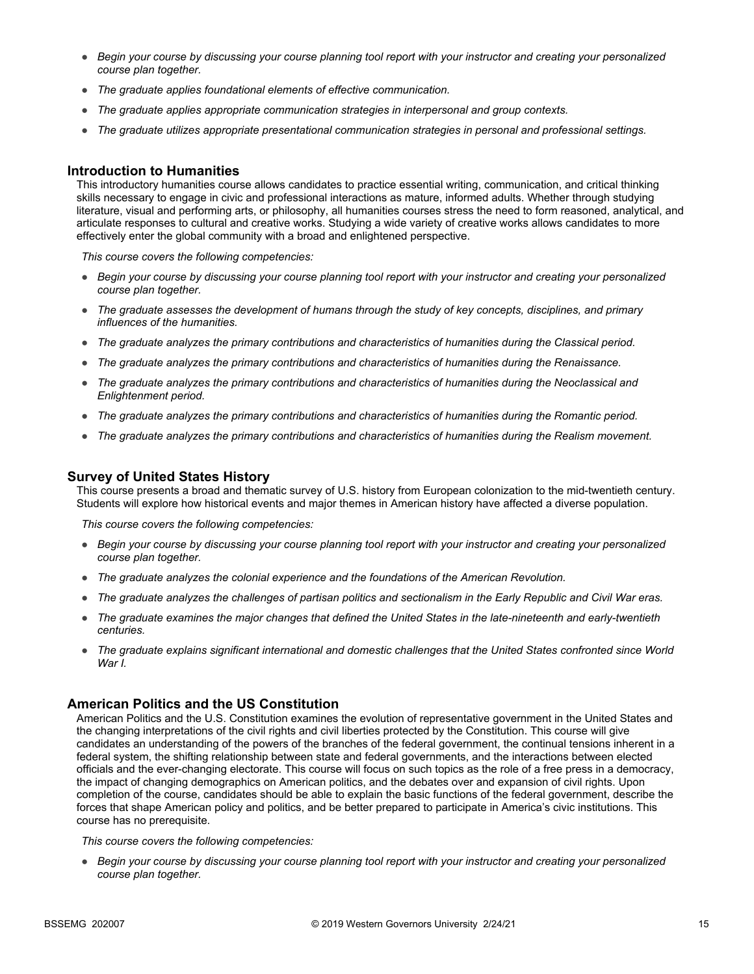- *Begin your course by discussing your course planning tool report with your instructor and creating your personalized course plan together.*
- *The graduate applies foundational elements of effective communication.*
- *The graduate applies appropriate communication strategies in interpersonal and group contexts.*
- *The graduate utilizes appropriate presentational communication strategies in personal and professional settings.*

#### **Introduction to Humanities**

This introductory humanities course allows candidates to practice essential writing, communication, and critical thinking skills necessary to engage in civic and professional interactions as mature, informed adults. Whether through studying literature, visual and performing arts, or philosophy, all humanities courses stress the need to form reasoned, analytical, and articulate responses to cultural and creative works. Studying a wide variety of creative works allows candidates to more effectively enter the global community with a broad and enlightened perspective.

*This course covers the following competencies:*

- *Begin your course by discussing your course planning tool report with your instructor and creating your personalized course plan together.*
- *The graduate assesses the development of humans through the study of key concepts, disciplines, and primary influences of the humanities.*
- *The graduate analyzes the primary contributions and characteristics of humanities during the Classical period.*
- *The graduate analyzes the primary contributions and characteristics of humanities during the Renaissance.*
- *The graduate analyzes the primary contributions and characteristics of humanities during the Neoclassical and Enlightenment period.*
- *The graduate analyzes the primary contributions and characteristics of humanities during the Romantic period.*
- *The graduate analyzes the primary contributions and characteristics of humanities during the Realism movement.*

#### **Survey of United States History**

This course presents a broad and thematic survey of U.S. history from European colonization to the mid-twentieth century. Students will explore how historical events and major themes in American history have affected a diverse population.

*This course covers the following competencies:*

- *Begin your course by discussing your course planning tool report with your instructor and creating your personalized course plan together.*
- *The graduate analyzes the colonial experience and the foundations of the American Revolution.*
- *The graduate analyzes the challenges of partisan politics and sectionalism in the Early Republic and Civil War eras.*
- *The graduate examines the major changes that defined the United States in the late-nineteenth and early-twentieth centuries.*
- *The graduate explains significant international and domestic challenges that the United States confronted since World War I.*

#### **American Politics and the US Constitution**

American Politics and the U.S. Constitution examines the evolution of representative government in the United States and the changing interpretations of the civil rights and civil liberties protected by the Constitution. This course will give candidates an understanding of the powers of the branches of the federal government, the continual tensions inherent in a federal system, the shifting relationship between state and federal governments, and the interactions between elected officials and the ever-changing electorate. This course will focus on such topics as the role of a free press in a democracy, the impact of changing demographics on American politics, and the debates over and expansion of civil rights. Upon completion of the course, candidates should be able to explain the basic functions of the federal government, describe the forces that shape American policy and politics, and be better prepared to participate in America's civic institutions. This course has no prerequisite.

*This course covers the following competencies:*

● *Begin your course by discussing your course planning tool report with your instructor and creating your personalized course plan together.*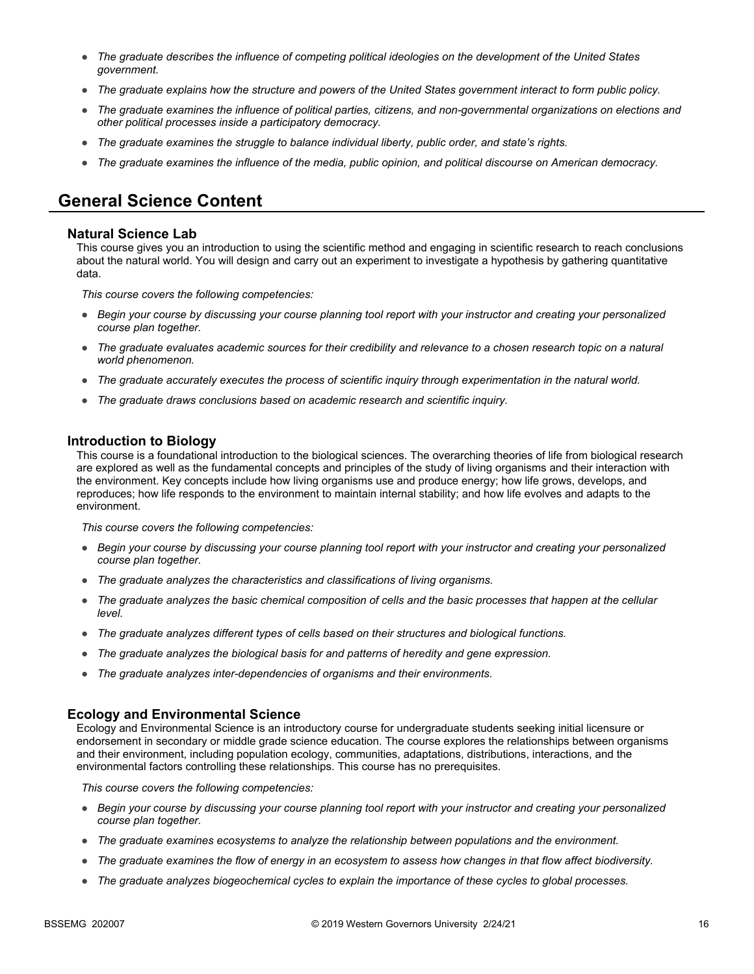- *The graduate describes the influence of competing political ideologies on the development of the United States government.*
- *The graduate explains how the structure and powers of the United States government interact to form public policy.*
- *The graduate examines the influence of political parties, citizens, and non-governmental organizations on elections and other political processes inside a participatory democracy.*
- *The graduate examines the struggle to balance individual liberty, public order, and state's rights.*
- *The graduate examines the influence of the media, public opinion, and political discourse on American democracy.*

# **General Science Content**

#### **Natural Science Lab**

This course gives you an introduction to using the scientific method and engaging in scientific research to reach conclusions about the natural world. You will design and carry out an experiment to investigate a hypothesis by gathering quantitative data.

*This course covers the following competencies:*

- *Begin your course by discussing your course planning tool report with your instructor and creating your personalized course plan together.*
- *The graduate evaluates academic sources for their credibility and relevance to a chosen research topic on a natural world phenomenon.*
- *The graduate accurately executes the process of scientific inquiry through experimentation in the natural world.*
- *The graduate draws conclusions based on academic research and scientific inquiry.*

#### **Introduction to Biology**

This course is a foundational introduction to the biological sciences. The overarching theories of life from biological research are explored as well as the fundamental concepts and principles of the study of living organisms and their interaction with the environment. Key concepts include how living organisms use and produce energy; how life grows, develops, and reproduces; how life responds to the environment to maintain internal stability; and how life evolves and adapts to the environment.

*This course covers the following competencies:*

- *Begin your course by discussing your course planning tool report with your instructor and creating your personalized course plan together.*
- *The graduate analyzes the characteristics and classifications of living organisms.*
- *The graduate analyzes the basic chemical composition of cells and the basic processes that happen at the cellular level.*
- *The graduate analyzes different types of cells based on their structures and biological functions.*
- *The graduate analyzes the biological basis for and patterns of heredity and gene expression.*
- *The graduate analyzes inter-dependencies of organisms and their environments.*

#### **Ecology and Environmental Science**

Ecology and Environmental Science is an introductory course for undergraduate students seeking initial licensure or endorsement in secondary or middle grade science education. The course explores the relationships between organisms and their environment, including population ecology, communities, adaptations, distributions, interactions, and the environmental factors controlling these relationships. This course has no prerequisites.

- *Begin your course by discussing your course planning tool report with your instructor and creating your personalized course plan together.*
- *The graduate examines ecosystems to analyze the relationship between populations and the environment.*
- *The graduate examines the flow of energy in an ecosystem to assess how changes in that flow affect biodiversity.*
- *The graduate analyzes biogeochemical cycles to explain the importance of these cycles to global processes.*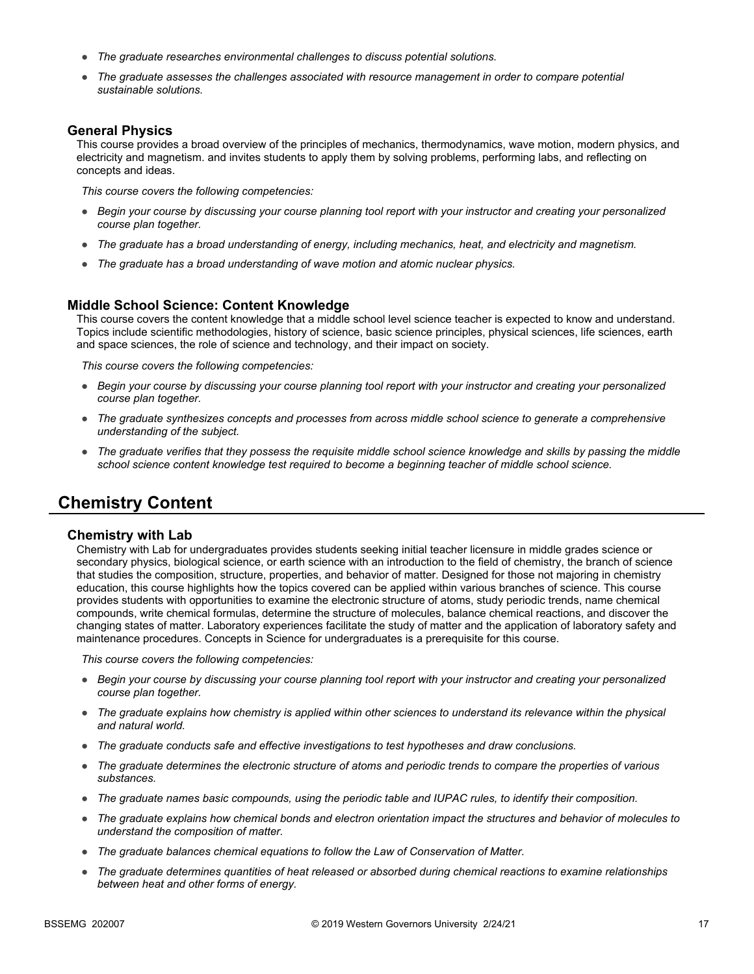- *The graduate researches environmental challenges to discuss potential solutions.*
- The graduate assesses the challenges associated with resource management in order to compare potential *sustainable solutions.*

#### **General Physics**

This course provides a broad overview of the principles of mechanics, thermodynamics, wave motion, modern physics, and electricity and magnetism. and invites students to apply them by solving problems, performing labs, and reflecting on concepts and ideas.

*This course covers the following competencies:*

- *Begin your course by discussing your course planning tool report with your instructor and creating your personalized course plan together.*
- *The graduate has a broad understanding of energy, including mechanics, heat, and electricity and magnetism.*
- *The graduate has a broad understanding of wave motion and atomic nuclear physics.*

#### **Middle School Science: Content Knowledge**

This course covers the content knowledge that a middle school level science teacher is expected to know and understand. Topics include scientific methodologies, history of science, basic science principles, physical sciences, life sciences, earth and space sciences, the role of science and technology, and their impact on society.

*This course covers the following competencies:*

- *Begin your course by discussing your course planning tool report with your instructor and creating your personalized course plan together.*
- *The graduate synthesizes concepts and processes from across middle school science to generate a comprehensive understanding of the subject.*
- *The graduate verifies that they possess the requisite middle school science knowledge and skills by passing the middle school science content knowledge test required to become a beginning teacher of middle school science.*

## **Chemistry Content**

#### **Chemistry with Lab**

Chemistry with Lab for undergraduates provides students seeking initial teacher licensure in middle grades science or secondary physics, biological science, or earth science with an introduction to the field of chemistry, the branch of science that studies the composition, structure, properties, and behavior of matter. Designed for those not majoring in chemistry education, this course highlights how the topics covered can be applied within various branches of science. This course provides students with opportunities to examine the electronic structure of atoms, study periodic trends, name chemical compounds, write chemical formulas, determine the structure of molecules, balance chemical reactions, and discover the changing states of matter. Laboratory experiences facilitate the study of matter and the application of laboratory safety and maintenance procedures. Concepts in Science for undergraduates is a prerequisite for this course.

- *Begin your course by discussing your course planning tool report with your instructor and creating your personalized course plan together.*
- *The graduate explains how chemistry is applied within other sciences to understand its relevance within the physical and natural world.*
- *The graduate conducts safe and effective investigations to test hypotheses and draw conclusions.*
- *The graduate determines the electronic structure of atoms and periodic trends to compare the properties of various substances.*
- *The graduate names basic compounds, using the periodic table and IUPAC rules, to identify their composition.*
- *The graduate explains how chemical bonds and electron orientation impact the structures and behavior of molecules to understand the composition of matter.*
- *The graduate balances chemical equations to follow the Law of Conservation of Matter.*
- *The graduate determines quantities of heat released or absorbed during chemical reactions to examine relationships between heat and other forms of energy.*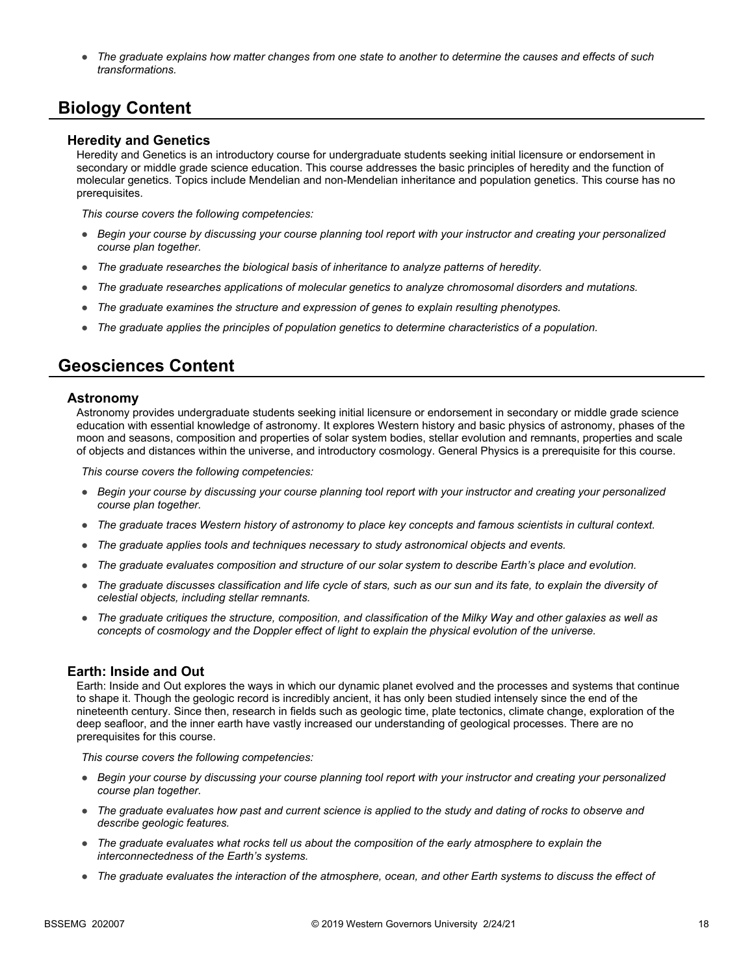● *The graduate explains how matter changes from one state to another to determine the causes and effects of such transformations.*

# **Biology Content**

#### **Heredity and Genetics**

Heredity and Genetics is an introductory course for undergraduate students seeking initial licensure or endorsement in secondary or middle grade science education. This course addresses the basic principles of heredity and the function of molecular genetics. Topics include Mendelian and non-Mendelian inheritance and population genetics. This course has no prerequisites.

*This course covers the following competencies:*

- *Begin your course by discussing your course planning tool report with your instructor and creating your personalized course plan together.*
- *The graduate researches the biological basis of inheritance to analyze patterns of heredity.*
- *The graduate researches applications of molecular genetics to analyze chromosomal disorders and mutations.*
- *The graduate examines the structure and expression of genes to explain resulting phenotypes.*
- *The graduate applies the principles of population genetics to determine characteristics of a population.*

# **Geosciences Content**

#### **Astronomy**

Astronomy provides undergraduate students seeking initial licensure or endorsement in secondary or middle grade science education with essential knowledge of astronomy. It explores Western history and basic physics of astronomy, phases of the moon and seasons, composition and properties of solar system bodies, stellar evolution and remnants, properties and scale of objects and distances within the universe, and introductory cosmology. General Physics is a prerequisite for this course.

*This course covers the following competencies:*

- *Begin your course by discussing your course planning tool report with your instructor and creating your personalized course plan together.*
- *The graduate traces Western history of astronomy to place key concepts and famous scientists in cultural context.*
- *The graduate applies tools and techniques necessary to study astronomical objects and events.*
- *The graduate evaluates composition and structure of our solar system to describe Earth's place and evolution.*
- *The graduate discusses classification and life cycle of stars, such as our sun and its fate, to explain the diversity of celestial objects, including stellar remnants.*
- *The graduate critiques the structure, composition, and classification of the Milky Way and other galaxies as well as concepts of cosmology and the Doppler effect of light to explain the physical evolution of the universe.*

#### **Earth: Inside and Out**

Earth: Inside and Out explores the ways in which our dynamic planet evolved and the processes and systems that continue to shape it. Though the geologic record is incredibly ancient, it has only been studied intensely since the end of the nineteenth century. Since then, research in fields such as geologic time, plate tectonics, climate change, exploration of the deep seafloor, and the inner earth have vastly increased our understanding of geological processes. There are no prerequisites for this course.

- *Begin your course by discussing your course planning tool report with your instructor and creating your personalized course plan together.*
- *The graduate evaluates how past and current science is applied to the study and dating of rocks to observe and describe geologic features.*
- *The graduate evaluates what rocks tell us about the composition of the early atmosphere to explain the interconnectedness of the Earth's systems.*
- *The graduate evaluates the interaction of the atmosphere, ocean, and other Earth systems to discuss the effect of*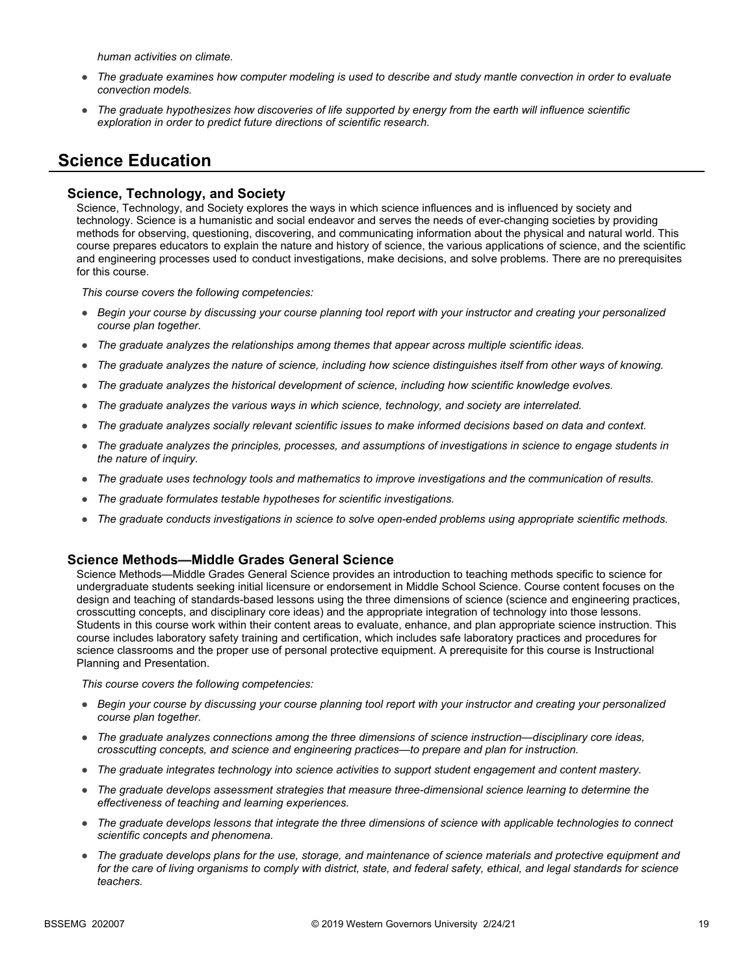*human activities on climate.* 

- *The graduate examines how computer modeling is used to describe and study mantle convection in order to evaluate convection models.*
- *The graduate hypothesizes how discoveries of life supported by energy from the earth will influence scientific exploration in order to predict future directions of scientific research.*

## **Science Education**

#### **Science, Technology, and Society**

Science, Technology, and Society explores the ways in which science influences and is influenced by society and technology. Science is a humanistic and social endeavor and serves the needs of ever-changing societies by providing methods for observing, questioning, discovering, and communicating information about the physical and natural world. This course prepares educators to explain the nature and history of science, the various applications of science, and the scientific and engineering processes used to conduct investigations, make decisions, and solve problems. There are no prerequisites for this course.

*This course covers the following competencies:*

- *Begin your course by discussing your course planning tool report with your instructor and creating your personalized course plan together.*
- *The graduate analyzes the relationships among themes that appear across multiple scientific ideas.*
- *The graduate analyzes the nature of science, including how science distinguishes itself from other ways of knowing.*
- *The graduate analyzes the historical development of science, including how scientific knowledge evolves.*
- *The graduate analyzes the various ways in which science, technology, and society are interrelated.*
- *The graduate analyzes socially relevant scientific issues to make informed decisions based on data and context.*
- *The graduate analyzes the principles, processes, and assumptions of investigations in science to engage students in the nature of inquiry.*
- *The graduate uses technology tools and mathematics to improve investigations and the communication of results.*
- *The graduate formulates testable hypotheses for scientific investigations.*
- *The graduate conducts investigations in science to solve open-ended problems using appropriate scientific methods.*

#### **Science Methods—Middle Grades General Science**

Science Methods—Middle Grades General Science provides an introduction to teaching methods specific to science for undergraduate students seeking initial licensure or endorsement in Middle School Science. Course content focuses on the design and teaching of standards-based lessons using the three dimensions of science (science and engineering practices, crosscutting concepts, and disciplinary core ideas) and the appropriate integration of technology into those lessons. Students in this course work within their content areas to evaluate, enhance, and plan appropriate science instruction. This course includes laboratory safety training and certification, which includes safe laboratory practices and procedures for science classrooms and the proper use of personal protective equipment. A prerequisite for this course is Instructional Planning and Presentation.

- *Begin your course by discussing your course planning tool report with your instructor and creating your personalized course plan together.*
- *The graduate analyzes connections among the three dimensions of science instruction—disciplinary core ideas, crosscutting concepts, and science and engineering practices—to prepare and plan for instruction.*
- *The graduate integrates technology into science activities to support student engagement and content mastery.*
- *The graduate develops assessment strategies that measure three-dimensional science learning to determine the effectiveness of teaching and learning experiences.*
- *The graduate develops lessons that integrate the three dimensions of science with applicable technologies to connect scientific concepts and phenomena.*
- *The graduate develops plans for the use, storage, and maintenance of science materials and protective equipment and for the care of living organisms to comply with district, state, and federal safety, ethical, and legal standards for science teachers.*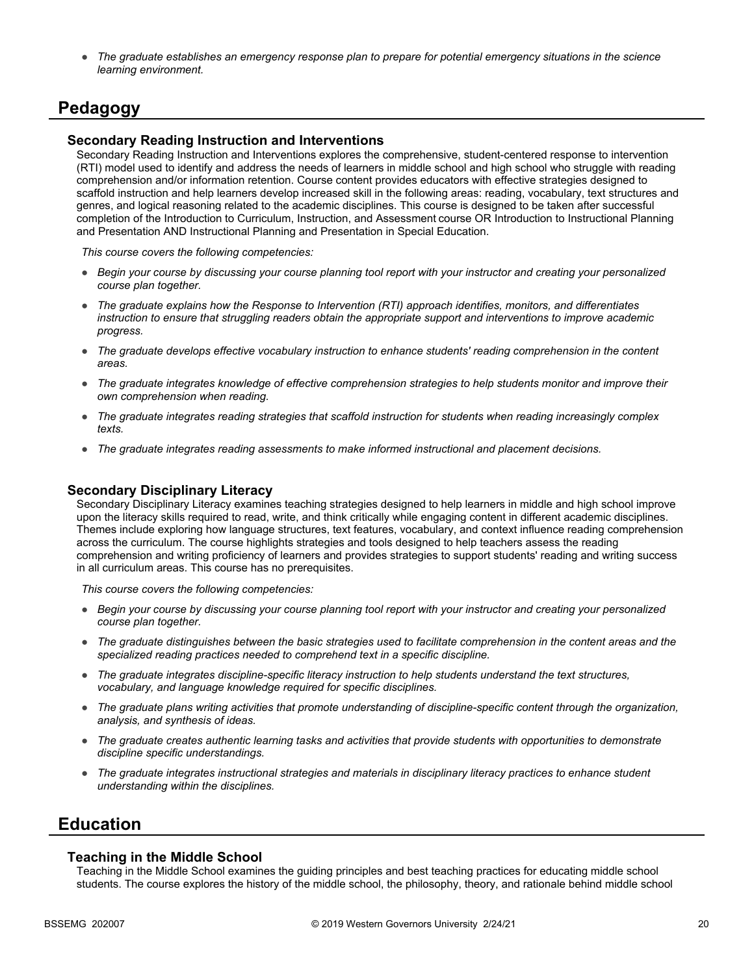● *The graduate establishes an emergency response plan to prepare for potential emergency situations in the science learning environment.*

## **Pedagogy**

#### **Secondary Reading Instruction and Interventions**

Secondary Reading Instruction and Interventions explores the comprehensive, student-centered response to intervention (RTI) model used to identify and address the needs of learners in middle school and high school who struggle with reading comprehension and/or information retention. Course content provides educators with effective strategies designed to scaffold instruction and help learners develop increased skill in the following areas: reading, vocabulary, text structures and genres, and logical reasoning related to the academic disciplines. This course is designed to be taken after successful completion of the Introduction to Curriculum, Instruction, and Assessment course OR Introduction to Instructional Planning and Presentation AND Instructional Planning and Presentation in Special Education.

*This course covers the following competencies:*

- *Begin your course by discussing your course planning tool report with your instructor and creating your personalized course plan together.*
- *The graduate explains how the Response to Intervention (RTI) approach identifies, monitors, and differentiates instruction to ensure that struggling readers obtain the appropriate support and interventions to improve academic progress.*
- *The graduate develops effective vocabulary instruction to enhance students' reading comprehension in the content areas.*
- *The graduate integrates knowledge of effective comprehension strategies to help students monitor and improve their own comprehension when reading.*
- *The graduate integrates reading strategies that scaffold instruction for students when reading increasingly complex texts.*
- *The graduate integrates reading assessments to make informed instructional and placement decisions.*

#### **Secondary Disciplinary Literacy**

Secondary Disciplinary Literacy examines teaching strategies designed to help learners in middle and high school improve upon the literacy skills required to read, write, and think critically while engaging content in different academic disciplines. Themes include exploring how language structures, text features, vocabulary, and context influence reading comprehension across the curriculum. The course highlights strategies and tools designed to help teachers assess the reading comprehension and writing proficiency of learners and provides strategies to support students' reading and writing success in all curriculum areas. This course has no prerequisites.

*This course covers the following competencies:*

- *Begin your course by discussing your course planning tool report with your instructor and creating your personalized course plan together.*
- *The graduate distinguishes between the basic strategies used to facilitate comprehension in the content areas and the specialized reading practices needed to comprehend text in a specific discipline.*
- *The graduate integrates discipline-specific literacy instruction to help students understand the text structures, vocabulary, and language knowledge required for specific disciplines.*
- *The graduate plans writing activities that promote understanding of discipline-specific content through the organization, analysis, and synthesis of ideas.*
- *The graduate creates authentic learning tasks and activities that provide students with opportunities to demonstrate discipline specific understandings.*
- *The graduate integrates instructional strategies and materials in disciplinary literacy practices to enhance student understanding within the disciplines.*

### **Education**

#### **Teaching in the Middle School**

Teaching in the Middle School examines the guiding principles and best teaching practices for educating middle school students. The course explores the history of the middle school, the philosophy, theory, and rationale behind middle school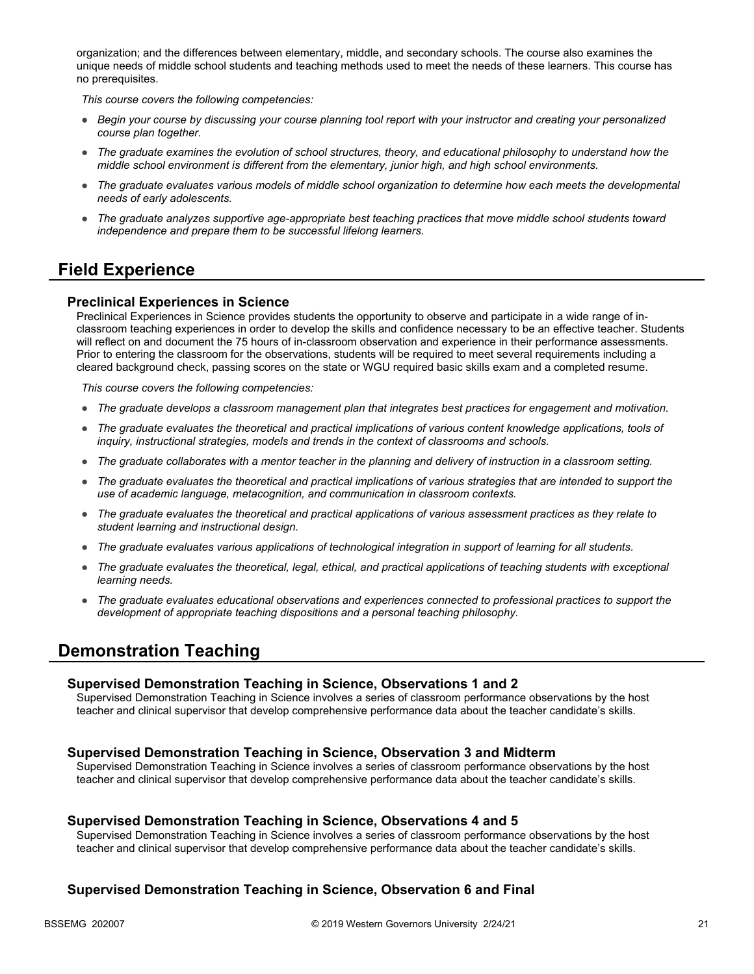organization; and the differences between elementary, middle, and secondary schools. The course also examines the unique needs of middle school students and teaching methods used to meet the needs of these learners. This course has no prerequisites.

*This course covers the following competencies:*

- *Begin your course by discussing your course planning tool report with your instructor and creating your personalized course plan together.*
- *The graduate examines the evolution of school structures, theory, and educational philosophy to understand how the middle school environment is different from the elementary, junior high, and high school environments.*
- *The graduate evaluates various models of middle school organization to determine how each meets the developmental needs of early adolescents.*
- *The graduate analyzes supportive age-appropriate best teaching practices that move middle school students toward independence and prepare them to be successful lifelong learners.*

## **Field Experience**

#### **Preclinical Experiences in Science**

Preclinical Experiences in Science provides students the opportunity to observe and participate in a wide range of inclassroom teaching experiences in order to develop the skills and confidence necessary to be an effective teacher. Students will reflect on and document the 75 hours of in-classroom observation and experience in their performance assessments. Prior to entering the classroom for the observations, students will be required to meet several requirements including a cleared background check, passing scores on the state or WGU required basic skills exam and a completed resume.

*This course covers the following competencies:*

- *The graduate develops a classroom management plan that integrates best practices for engagement and motivation.*
- The graduate evaluates the theoretical and practical implications of various content knowledge applications, tools of *inquiry, instructional strategies, models and trends in the context of classrooms and schools.*
- *The graduate collaborates with a mentor teacher in the planning and delivery of instruction in a classroom setting.*
- *The graduate evaluates the theoretical and practical implications of various strategies that are intended to support the use of academic language, metacognition, and communication in classroom contexts.*
- *The graduate evaluates the theoretical and practical applications of various assessment practices as they relate to student learning and instructional design.*
- *The graduate evaluates various applications of technological integration in support of learning for all students.*
- *The graduate evaluates the theoretical, legal, ethical, and practical applications of teaching students with exceptional learning needs.*
- *The graduate evaluates educational observations and experiences connected to professional practices to support the development of appropriate teaching dispositions and a personal teaching philosophy.*

### **Demonstration Teaching**

#### **Supervised Demonstration Teaching in Science, Observations 1 and 2**

Supervised Demonstration Teaching in Science involves a series of classroom performance observations by the host teacher and clinical supervisor that develop comprehensive performance data about the teacher candidate's skills.

#### **Supervised Demonstration Teaching in Science, Observation 3 and Midterm**

Supervised Demonstration Teaching in Science involves a series of classroom performance observations by the host teacher and clinical supervisor that develop comprehensive performance data about the teacher candidate's skills.

#### **Supervised Demonstration Teaching in Science, Observations 4 and 5**

Supervised Demonstration Teaching in Science involves a series of classroom performance observations by the host teacher and clinical supervisor that develop comprehensive performance data about the teacher candidate's skills.

#### **Supervised Demonstration Teaching in Science, Observation 6 and Final**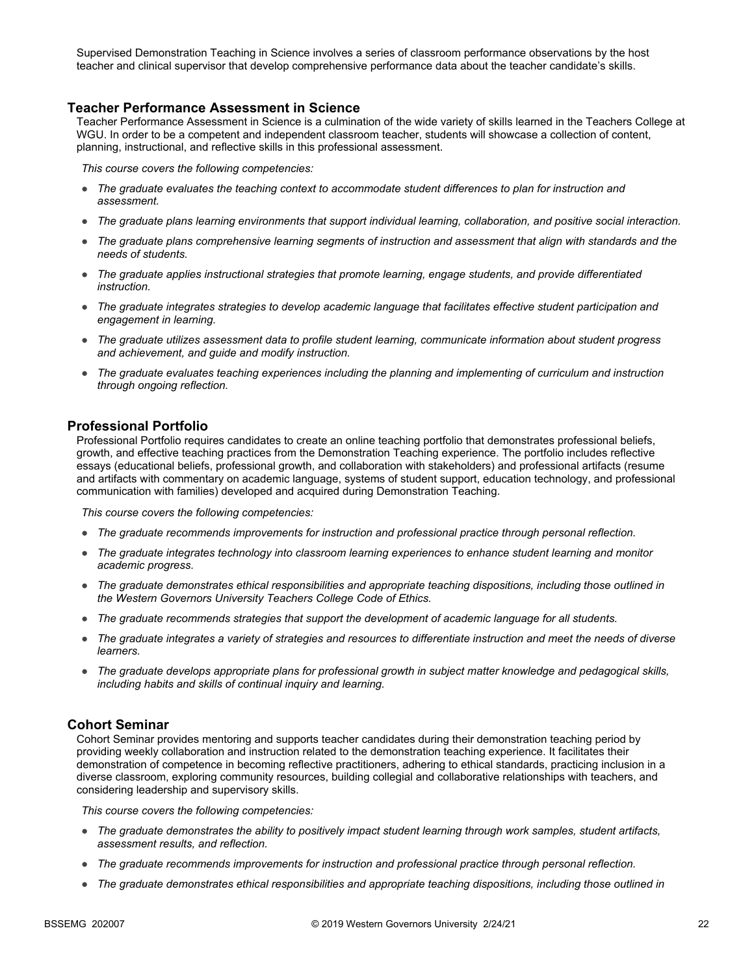Supervised Demonstration Teaching in Science involves a series of classroom performance observations by the host teacher and clinical supervisor that develop comprehensive performance data about the teacher candidate's skills.

#### **Teacher Performance Assessment in Science**

Teacher Performance Assessment in Science is a culmination of the wide variety of skills learned in the Teachers College at WGU. In order to be a competent and independent classroom teacher, students will showcase a collection of content, planning, instructional, and reflective skills in this professional assessment.

*This course covers the following competencies:*

- *The graduate evaluates the teaching context to accommodate student differences to plan for instruction and assessment.*
- *The graduate plans learning environments that support individual learning, collaboration, and positive social interaction.*
- *The graduate plans comprehensive learning segments of instruction and assessment that align with standards and the needs of students.*
- *The graduate applies instructional strategies that promote learning, engage students, and provide differentiated instruction.*
- *The graduate integrates strategies to develop academic language that facilitates effective student participation and engagement in learning.*
- *The graduate utilizes assessment data to profile student learning, communicate information about student progress and achievement, and guide and modify instruction.*
- *The graduate evaluates teaching experiences including the planning and implementing of curriculum and instruction through ongoing reflection.*

#### **Professional Portfolio**

Professional Portfolio requires candidates to create an online teaching portfolio that demonstrates professional beliefs, growth, and effective teaching practices from the Demonstration Teaching experience. The portfolio includes reflective essays (educational beliefs, professional growth, and collaboration with stakeholders) and professional artifacts (resume and artifacts with commentary on academic language, systems of student support, education technology, and professional communication with families) developed and acquired during Demonstration Teaching.

*This course covers the following competencies:*

- *The graduate recommends improvements for instruction and professional practice through personal reflection.*
- *The graduate integrates technology into classroom learning experiences to enhance student learning and monitor academic progress.*
- *The graduate demonstrates ethical responsibilities and appropriate teaching dispositions, including those outlined in the Western Governors University Teachers College Code of Ethics.*
- *The graduate recommends strategies that support the development of academic language for all students.*
- *The graduate integrates a variety of strategies and resources to differentiate instruction and meet the needs of diverse learners.*
- *The graduate develops appropriate plans for professional growth in subject matter knowledge and pedagogical skills, including habits and skills of continual inquiry and learning.*

#### **Cohort Seminar**

Cohort Seminar provides mentoring and supports teacher candidates during their demonstration teaching period by providing weekly collaboration and instruction related to the demonstration teaching experience. It facilitates their demonstration of competence in becoming reflective practitioners, adhering to ethical standards, practicing inclusion in a diverse classroom, exploring community resources, building collegial and collaborative relationships with teachers, and considering leadership and supervisory skills.

- *The graduate demonstrates the ability to positively impact student learning through work samples, student artifacts, assessment results, and reflection.*
- *The graduate recommends improvements for instruction and professional practice through personal reflection.*
- *The graduate demonstrates ethical responsibilities and appropriate teaching dispositions, including those outlined in*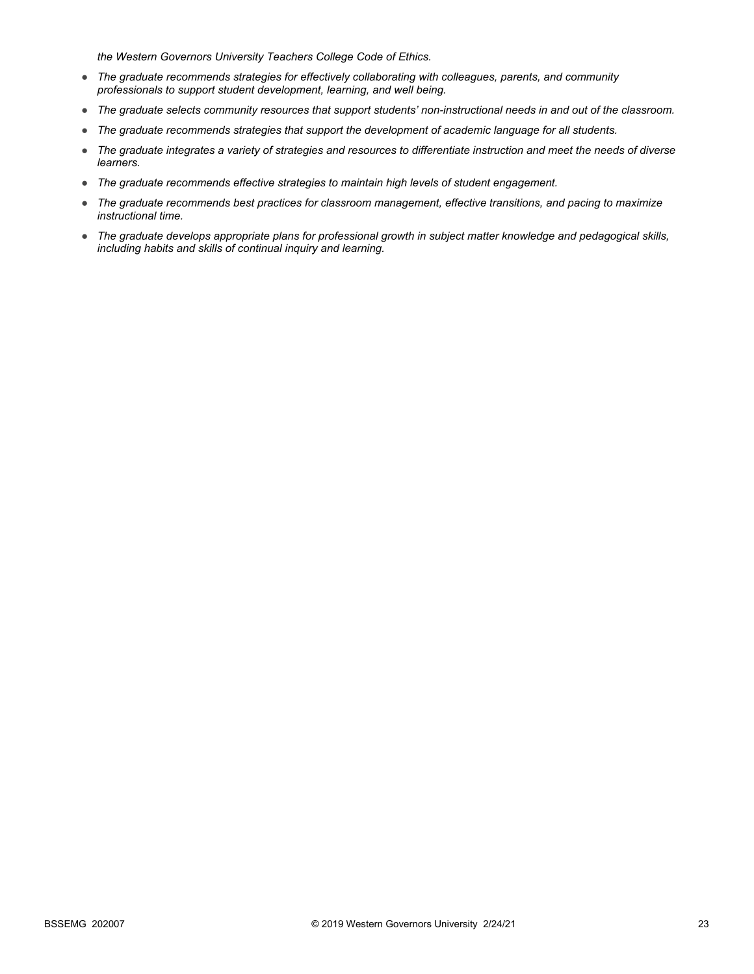*the Western Governors University Teachers College Code of Ethics.*

- *The graduate recommends strategies for effectively collaborating with colleagues, parents, and community professionals to support student development, learning, and well being.*
- *The graduate selects community resources that support students' non-instructional needs in and out of the classroom.*
- *The graduate recommends strategies that support the development of academic language for all students.*
- *The graduate integrates a variety of strategies and resources to differentiate instruction and meet the needs of diverse learners.*
- *The graduate recommends effective strategies to maintain high levels of student engagement.*
- *The graduate recommends best practices for classroom management, effective transitions, and pacing to maximize instructional time.*
- *The graduate develops appropriate plans for professional growth in subject matter knowledge and pedagogical skills, including habits and skills of continual inquiry and learning.*